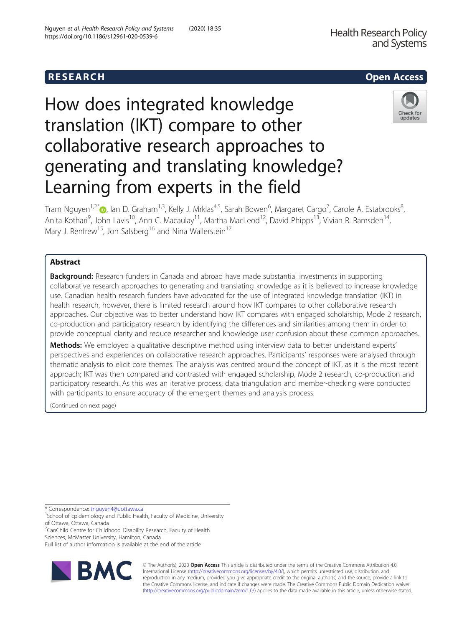R E S EAR CH Open Access

# How does integrated knowledge translation (IKT) compare to other collaborative research approaches to generating and translating knowledge? Learning from experts in the field



Tram Nguyen<sup>1,2\*</sup>�, lan D. Graham<sup>1,3</sup>, Kelly J. Mrklas<sup>4,5</sup>, Sarah Bowen<sup>6</sup>, Margaret Cargo<sup>7</sup>, Carole A. Estabrooks<sup>8</sup> , Anita Kothari<sup>9</sup>, John Lavis<sup>10</sup>, Ann C. Macaulay<sup>11</sup>, Martha MacLeod<sup>12</sup>, David Phipps<sup>13</sup>, Vivian R. Ramsden<sup>14</sup>, Mary J. Renfrew<sup>15</sup>, Jon Salsberg<sup>16</sup> and Nina Wallerstein<sup>17</sup>

# Abstract

Background: Research funders in Canada and abroad have made substantial investments in supporting collaborative research approaches to generating and translating knowledge as it is believed to increase knowledge use. Canadian health research funders have advocated for the use of integrated knowledge translation (IKT) in health research, however, there is limited research around how IKT compares to other collaborative research approaches. Our objective was to better understand how IKT compares with engaged scholarship, Mode 2 research, co-production and participatory research by identifying the differences and similarities among them in order to provide conceptual clarity and reduce researcher and knowledge user confusion about these common approaches.

Methods: We employed a qualitative descriptive method using interview data to better understand experts' perspectives and experiences on collaborative research approaches. Participants' responses were analysed through thematic analysis to elicit core themes. The analysis was centred around the concept of IKT, as it is the most recent approach; IKT was then compared and contrasted with engaged scholarship, Mode 2 research, co-production and participatory research. As this was an iterative process, data triangulation and member-checking were conducted with participants to ensure accuracy of the emergent themes and analysis process.

(Continued on next page)

\* Correspondence: [tnguyen4@uottawa.ca](mailto:tnguyen4@uottawa.ca) <sup>1</sup>

<sup>1</sup>School of Epidemiology and Public Health, Faculty of Medicine, University of Ottawa, Ottawa, Canada

<sup>2</sup>CanChild Centre for Childhood Disability Research, Faculty of Health

Sciences, McMaster University, Hamilton, Canada

Full list of author information is available at the end of the article



© The Author(s). 2020 **Open Access** This article is distributed under the terms of the Creative Commons Attribution 4.0 International License [\(http://creativecommons.org/licenses/by/4.0/](http://creativecommons.org/licenses/by/4.0/)), which permits unrestricted use, distribution, and reproduction in any medium, provided you give appropriate credit to the original author(s) and the source, provide a link to the Creative Commons license, and indicate if changes were made. The Creative Commons Public Domain Dedication waiver [\(http://creativecommons.org/publicdomain/zero/1.0/](http://creativecommons.org/publicdomain/zero/1.0/)) applies to the data made available in this article, unless otherwise stated.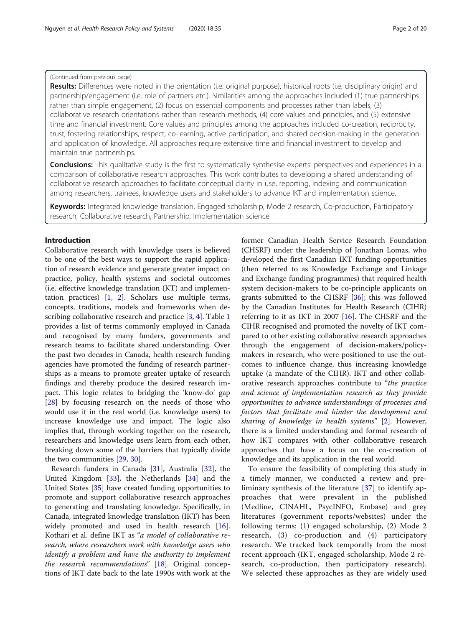## (Continued from previous page)

Results: Differences were noted in the orientation (i.e. original purpose), historical roots (i.e. disciplinary origin) and partnership/engagement (i.e. role of partners etc.). Similarities among the approaches included (1) true partnerships rather than simple engagement, (2) focus on essential components and processes rather than labels, (3) collaborative research orientations rather than research methods, (4) core values and principles, and (5) extensive time and financial investment. Core values and principles among the approaches included co-creation, reciprocity, trust, fostering relationships, respect, co-learning, active participation, and shared decision-making in the generation and application of knowledge. All approaches require extensive time and financial investment to develop and maintain true partnerships.

**Conclusions:** This qualitative study is the first to systematically synthesise experts' perspectives and experiences in a comparison of collaborative research approaches. This work contributes to developing a shared understanding of collaborative research approaches to facilitate conceptual clarity in use, reporting, indexing and communication among researchers, trainees, knowledge users and stakeholders to advance IKT and implementation science.

Keywords: Integrated knowledge translation, Engaged scholarship, Mode 2 research, Co-production, Participatory research, Collaborative research, Partnership, Implementation science

# Introduction

Collaborative research with knowledge users is believed to be one of the best ways to support the rapid application of research evidence and generate greater impact on practice, policy, health systems and societal outcomes (i.e. effective knowledge translation (KT) and implementation practices) [\[1](#page-16-0), [2](#page-16-0)]. Scholars use multiple terms, concepts, traditions, models and frameworks when de-scribing collaborative research and practice [[3,](#page-16-0) [4](#page-16-0)]. Table [1](#page-2-0) provides a list of terms commonly employed in Canada and recognised by many funders, governments and research teams to facilitate shared understanding. Over the past two decades in Canada, health research funding agencies have promoted the funding of research partnerships as a means to promote greater uptake of research findings and thereby produce the desired research impact. This logic relates to bridging the 'know-do' gap [[28\]](#page-17-0) by focusing research on the needs of those who would use it in the real world (i.e. knowledge users) to increase knowledge use and impact. The logic also implies that, through working together on the research, researchers and knowledge users learn from each other, breaking down some of the barriers that typically divide the two communities [[29,](#page-17-0) [30\]](#page-17-0).

Research funders in Canada [[31\]](#page-17-0), Australia [[32](#page-17-0)], the United Kingdom [[33\]](#page-17-0), the Netherlands [\[34](#page-17-0)] and the United States [\[35](#page-17-0)] have created funding opportunities to promote and support collaborative research approaches to generating and translating knowledge. Specifically, in Canada, integrated knowledge translation (IKT) has been widely promoted and used in health research [\[16](#page-17-0)]. Kothari et al. define IKT as "a model of collaborative research, where researchers work with knowledge users who identify a problem and have the authority to implement the research recommendations" [[18\]](#page-17-0). Original conceptions of IKT date back to the late 1990s with work at the former Canadian Health Service Research Foundation (CHSRF) under the leadership of Jonathan Lomas, who developed the first Canadian IKT funding opportunities (then referred to as Knowledge Exchange and Linkage and Exchange funding programmes) that required health system decision-makers to be co-principle applicants on grants submitted to the CHSRF [\[36](#page-17-0)]; this was followed by the Canadian Institutes for Health Research (CIHR) referring to it as IKT in 2007 [[16](#page-17-0)]. The CHSRF and the CIHR recognised and promoted the novelty of IKT compared to other existing collaborative research approaches through the engagement of decision-makers/policymakers in research, who were positioned to use the outcomes to influence change, thus increasing knowledge uptake (a mandate of the CIHR). IKT and other collaborative research approaches contribute to "the practice and science of implementation research as they provide opportunities to advance understandings of processes and factors that facilitate and hinder the development and sharing of knowledge in health systems" [[2](#page-16-0)]. However, there is a limited understanding and formal research of how IKT compares with other collaborative research approaches that have a focus on the co-creation of knowledge and its application in the real world.

To ensure the feasibility of completing this study in a timely manner, we conducted a review and preliminary synthesis of the literature [[37](#page-17-0)] to identify approaches that were prevalent in the published (Medline, CINAHL, PsycINFO, Embase) and grey literatures (government reports/websites) under the following terms: (1) engaged scholarship, (2) Mode 2 research, (3) co-production and (4) participatory research. We tracked back temporally from the most recent approach (IKT, engaged scholarship, Mode 2 research, co-production, then participatory research). We selected these approaches as they are widely used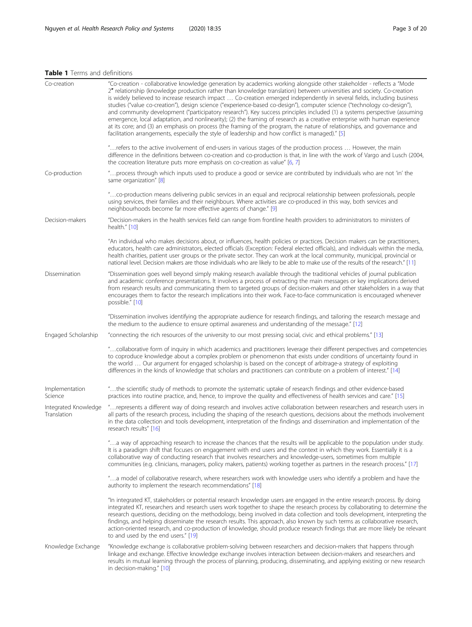# <span id="page-2-0"></span>Table 1 Terms and definitions

| Co-creation                         | "Co-creation - collaborative knowledge generation by academics working alongside other stakeholder - reflects a "Mode<br>2" relationship (knowledge production rather than knowledge translation) between universities and society. Co-creation<br>is widely believed to increase research impact  Co-creation emerged independently in several fields, including business<br>studies ("value co-creation"), design science ("experience-based co-design"), computer science ("technology co-design"),<br>and community development ("participatory research"). Key success principles included (1) a systems perspective (assuming<br>emergence, local adaptation, and nonlinearity); (2) the framing of research as a creative enterprise with human experience<br>at its core; and (3) an emphasis on process (the framing of the program, the nature of relationships, and governance and<br>facilitation arrangements, especially the style of leadership and how conflict is managed)." [5] |
|-------------------------------------|---------------------------------------------------------------------------------------------------------------------------------------------------------------------------------------------------------------------------------------------------------------------------------------------------------------------------------------------------------------------------------------------------------------------------------------------------------------------------------------------------------------------------------------------------------------------------------------------------------------------------------------------------------------------------------------------------------------------------------------------------------------------------------------------------------------------------------------------------------------------------------------------------------------------------------------------------------------------------------------------------|
|                                     | " refers to the active involvement of end-users in various stages of the production process  However, the main<br>difference in the definitions between co-creation and co-production is that, in line with the work of Vargo and Lusch (2004,<br>the cocreation literature puts more emphasis on co-creation as value" [6, 7]                                                                                                                                                                                                                                                                                                                                                                                                                                                                                                                                                                                                                                                                    |
| Co-production                       | "process through which inputs used to produce a good or service are contributed by individuals who are not 'in' the<br>same organization" [8]                                                                                                                                                                                                                                                                                                                                                                                                                                                                                                                                                                                                                                                                                                                                                                                                                                                     |
|                                     | "co-production means delivering public services in an equal and reciprocal relationship between professionals, people<br>using services, their families and their neighbours. Where activities are co-produced in this way, both services and<br>neighbourhoods become far more effective agents of change." [9]                                                                                                                                                                                                                                                                                                                                                                                                                                                                                                                                                                                                                                                                                  |
| Decision-makers                     | "Decision-makers in the health services field can range from frontline health providers to administrators to ministers of<br>health." [10]                                                                                                                                                                                                                                                                                                                                                                                                                                                                                                                                                                                                                                                                                                                                                                                                                                                        |
|                                     | "An individual who makes decisions about, or influences, health policies or practices. Decision makers can be practitioners,<br>educators, health care administrators, elected officials (Exception: Federal elected officials), and individuals within the media,<br>health charities, patient user groups or the private sector. They can work at the local community, municipal, provincial or<br>national level. Decision makers are those individuals who are likely to be able to make use of the results of the research." [11]                                                                                                                                                                                                                                                                                                                                                                                                                                                            |
| Dissemination                       | "Dissemination goes well beyond simply making research available through the traditional vehicles of journal publication<br>and academic conference presentations. It involves a process of extracting the main messages or key implications derived<br>from research results and communicating them to targeted groups of decision-makers and other stakeholders in a way that<br>encourages them to factor the research implications into their work. Face-to-face communication is encouraged whenever<br>possible." [10]                                                                                                                                                                                                                                                                                                                                                                                                                                                                      |
|                                     | "Dissemination involves identifying the appropriate audience for research findings, and tailoring the research message and<br>the medium to the audience to ensure optimal awareness and understanding of the message." [12]                                                                                                                                                                                                                                                                                                                                                                                                                                                                                                                                                                                                                                                                                                                                                                      |
| Engaged Scholarship                 | "connecting the rich resources of the university to our most pressing social, civic and ethical problems." [13]                                                                                                                                                                                                                                                                                                                                                                                                                                                                                                                                                                                                                                                                                                                                                                                                                                                                                   |
|                                     | "collaborative form of inquiry in which academics and practitioners leverage their different perspectives and competencies"<br>to coproduce knowledge about a complex problem or phenomenon that exists under conditions of uncertainty found in<br>the world  Our argument for engaged scholarship is based on the concept of arbitrage-a strategy of exploiting<br>differences in the kinds of knowledge that scholars and practitioners can contribute on a problem of interest." [14]                                                                                                                                                                                                                                                                                                                                                                                                                                                                                                         |
| Implementation<br>Science           | "the scientific study of methods to promote the systematic uptake of research findings and other evidence-based<br>practices into routine practice, and, hence, to improve the quality and effectiveness of health services and care." [15]                                                                                                                                                                                                                                                                                                                                                                                                                                                                                                                                                                                                                                                                                                                                                       |
| Integrated Knowledge<br>Translation | " represents a different way of doing research and involves active collaboration between researchers and research users in<br>all parts of the research process, including the shaping of the research questions, decisions about the methods involvement<br>in the data collection and tools development, interpretation of the findings and dissemination and implementation of the<br>research results" [16]                                                                                                                                                                                                                                                                                                                                                                                                                                                                                                                                                                                   |
|                                     | "a way of approaching research to increase the chances that the results will be applicable to the population under study.<br>It is a paradigm shift that focuses on engagement with end users and the context in which they work. Essentially it is a<br>collaborative way of conducting research that involves researchers and knowledge-users, sometimes from multiple<br>communities (e.g. clinicians, managers, policy makers, patients) working together as partners in the research process." [17]                                                                                                                                                                                                                                                                                                                                                                                                                                                                                          |
|                                     | "a model of collaborative research, where researchers work with knowledge users who identify a problem and have the<br>authority to implement the research recommendations" [18]                                                                                                                                                                                                                                                                                                                                                                                                                                                                                                                                                                                                                                                                                                                                                                                                                  |
|                                     | "In integrated KT, stakeholders or potential research knowledge users are engaged in the entire research process. By doing<br>integrated KT, researchers and research users work together to shape the research process by collaborating to determine the<br>research questions, deciding on the methodology, being involved in data collection and tools development, interpreting the<br>findings, and helping disseminate the research results. This approach, also known by such terms as collaborative research,<br>action-oriented research, and co-production of knowledge, should produce research findings that are more likely be relevant<br>to and used by the end users." [19]                                                                                                                                                                                                                                                                                                       |
| Knowledge Exchange                  | "Knowledge exchange is collaborative problem-solving between researchers and decision-makers that happens through<br>linkage and exchange. Effective knowledge exchange involves interaction between decision-makers and researchers and<br>results in mutual learning through the process of planning, producing, disseminating, and applying existing or new research<br>in decision-making." [10]                                                                                                                                                                                                                                                                                                                                                                                                                                                                                                                                                                                              |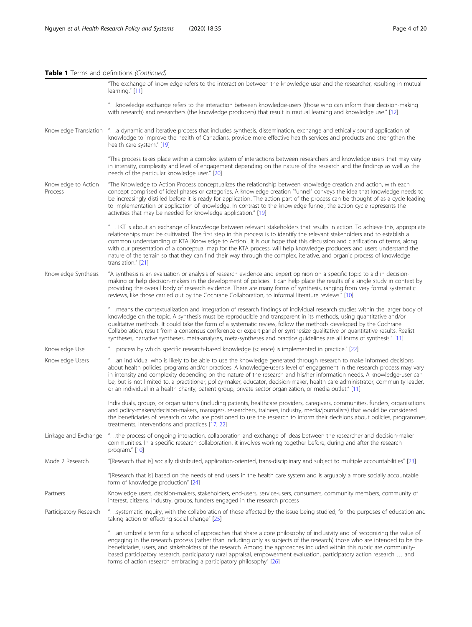# Table 1 Terms and definitions (Continued)

|                                | "The exchange of knowledge refers to the interaction between the knowledge user and the researcher, resulting in mutual<br>learning." [11]                                                                                                                                                                                                                                                                                                                                                                                                                                                                                                                      |
|--------------------------------|-----------------------------------------------------------------------------------------------------------------------------------------------------------------------------------------------------------------------------------------------------------------------------------------------------------------------------------------------------------------------------------------------------------------------------------------------------------------------------------------------------------------------------------------------------------------------------------------------------------------------------------------------------------------|
|                                | "knowledge exchange refers to the interaction between knowledge-users (those who can inform their decision-making<br>with research) and researchers (the knowledge producers) that result in mutual learning and knowledge use." [12]                                                                                                                                                                                                                                                                                                                                                                                                                           |
| Knowledge Translation          | "a dynamic and iterative process that includes synthesis, dissemination, exchange and ethically sound application of<br>knowledge to improve the health of Canadians, provide more effective health services and products and strengthen the<br>health care system." [19]                                                                                                                                                                                                                                                                                                                                                                                       |
|                                | "This process takes place within a complex system of interactions between researchers and knowledge users that may vary<br>in intensity, complexity and level of engagement depending on the nature of the research and the findings as well as the<br>needs of the particular knowledge user." [20]                                                                                                                                                                                                                                                                                                                                                            |
| Knowledge to Action<br>Process | "The Knowledge to Action Process conceptualizes the relationship between knowledge creation and action, with each<br>concept comprised of ideal phases or categories. A knowledge creation "funnel" conveys the idea that knowledge needs to<br>be increasingly distilled before it is ready for application. The action part of the process can be thought of as a cycle leading<br>to implementation or application of knowledge. In contrast to the knowledge funnel, the action cycle represents the<br>activities that may be needed for knowledge application." [19]                                                                                      |
|                                | " IKT is about an exchange of knowledge between relevant stakeholders that results in action. To achieve this, appropriate<br>relationships must be cultivated. The first step in this process is to identify the relevant stakeholders and to establish a<br>common understanding of KTA [Knowledge to Action]. It is our hope that this discussion and clarification of terms, along<br>with our presentation of a conceptual map for the KTA process, will help knowledge producers and users understand the<br>nature of the terrain so that they can find their way through the complex, iterative, and organic process of knowledge<br>translation." [21] |
| Knowledge Synthesis            | "A synthesis is an evaluation or analysis of research evidence and expert opinion on a specific topic to aid in decision-<br>making or help decision-makers in the development of policies. It can help place the results of a single study in context by<br>providing the overall body of research evidence. There are many forms of synthesis, ranging from very formal systematic<br>reviews, like those carried out by the Cochrane Collaboration, to informal literature reviews." [10]                                                                                                                                                                    |
|                                | "means the contextualization and integration of research findings of individual research studies within the larger body of<br>knowledge on the topic. A synthesis must be reproducible and transparent in its methods, using quantitative and/or<br>qualitative methods. It could take the form of a systematic review, follow the methods developed by the Cochrane<br>Collaboration, result from a consensus conference or expert panel or synthesize qualitative or quantitative results. Realist<br>syntheses, narrative syntheses, meta-analyses, meta-syntheses and practice guidelines are all forms of synthesis." [11]                                 |
| Knowledge Use                  | "process by which specific research-based knowledge (science) is implemented in practice." [22]                                                                                                                                                                                                                                                                                                                                                                                                                                                                                                                                                                 |
| Knowledge Users                | "an individual who is likely to be able to use the knowledge generated through research to make informed decisions<br>about health policies, programs and/or practices. A knowledge-user's level of engagement in the research process may vary<br>in intensity and complexity depending on the nature of the research and his/her information needs. A knowledge-user can<br>be, but is not limited to, a practitioner, policy-maker, educator, decision-maker, health care administrator, community leader,<br>or an individual in a health charity, patient group, private sector organization, or media outlet." [11]                                       |
|                                | Individuals, groups, or organisations (including patients, healthcare providers, caregivers, communities, funders, organisations<br>and policy-makers/decision-makers, managers, researchers, trainees, industry, media/journalists) that would be considered<br>the beneficiaries of research or who are positioned to use the research to inform their decisions about policies, programmes,<br>treatments, interventions and practices [17, 22]                                                                                                                                                                                                              |
| Linkage and Exchange           | "the process of ongoing interaction, collaboration and exchange of ideas between the researcher and decision-maker<br>communities. In a specific research collaboration, it involves working together before, during and after the research<br>program." [10]                                                                                                                                                                                                                                                                                                                                                                                                   |
| Mode 2 Research                | "[Research that is] socially distributed, application-oriented, trans-disciplinary and subject to multiple accountabilities" [23]                                                                                                                                                                                                                                                                                                                                                                                                                                                                                                                               |
|                                | "[Research that is] based on the needs of end users in the health care system and is arguably a more socially accountable<br>form of knowledge production" [24]                                                                                                                                                                                                                                                                                                                                                                                                                                                                                                 |
| Partners                       | Knowledge users, decision-makers, stakeholders, end-users, service-users, consumers, community members, community of<br>interest, citizens, industry, groups, funders engaged in the research process                                                                                                                                                                                                                                                                                                                                                                                                                                                           |
| Participatory Research         | "systematic inquiry, with the collaboration of those affected by the issue being studied, for the purposes of education and<br>taking action or effecting social change" [25]                                                                                                                                                                                                                                                                                                                                                                                                                                                                                   |
|                                | "an umbrella term for a school of approaches that share a core philosophy of inclusivity and of recognizing the value of<br>engaging in the research process (rather than including only as subjects of the research) those who are intended to be the<br>beneficiaries, users, and stakeholders of the research. Among the approaches included within this rubric are community-<br>based participatory research, participatory rural appraisal, empowerment evaluation, participatory action research  and<br>forms of action research embracing a participatory philosophy" [26]                                                                             |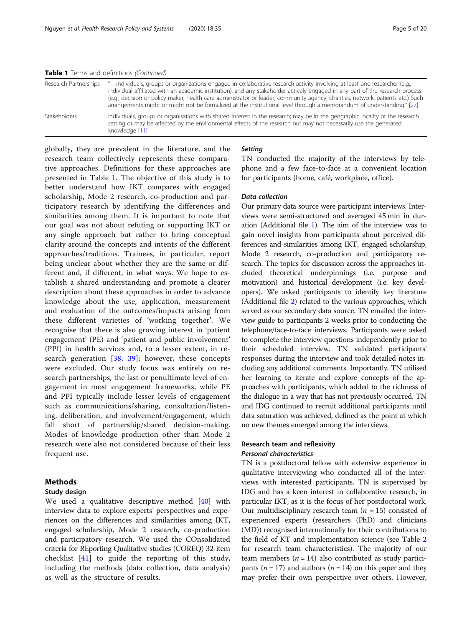| Research Partnerships | "individuals, groups or organizations engaged in collaborative research activity involving at least one researcher (e.g.,<br>individual affiliated with an academic institution), and any stakeholder actively engaged in any part of the research process<br>(e.g., decision or policy maker, health care administrator or leader, community agency, charities, network, patients etc.) Such<br>arrangements might or might not be formalized at the institutional level through a memorandum of understanding." [27] |
|-----------------------|------------------------------------------------------------------------------------------------------------------------------------------------------------------------------------------------------------------------------------------------------------------------------------------------------------------------------------------------------------------------------------------------------------------------------------------------------------------------------------------------------------------------|
| <b>Stakeholders</b>   | Individuals, groups or organisations with shared interest in the research; may be in the geographic locality of the research<br>setting or may be affected by the environmental effects of the research but may not necessarily use the generated<br>knowledge [11]                                                                                                                                                                                                                                                    |

globally, they are prevalent in the literature, and the research team collectively represents these comparative approaches. Definitions for these approaches are presented in Table [1](#page-2-0). The objective of this study is to better understand how IKT compares with engaged scholarship, Mode 2 research, co-production and participatory research by identifying the differences and similarities among them. It is important to note that our goal was not about refuting or supporting IKT or any single approach but rather to bring conceptual clarity around the concepts and intents of the different approaches/traditions. Trainees, in particular, report being unclear about whether they are the same or different and, if different, in what ways. We hope to establish a shared understanding and promote a clearer description about these approaches in order to advance knowledge about the use, application, measurement and evaluation of the outcomes/impacts arising from these different varieties of 'working together'. We recognise that there is also growing interest in 'patient engagement' (PE) and 'patient and public involvement' (PPI) in health services and, to a lesser extent, in research generation [[38](#page-17-0), [39](#page-17-0)]; however, these concepts were excluded. Our study focus was entirely on research partnerships, the last or penultimate level of engagement in most engagement frameworks, while PE and PPI typically include lesser levels of engagement such as communications/sharing, consultation/listening, deliberation, and involvement/engagement, which fall short of partnership/shared decision-making. Modes of knowledge production other than Mode 2 research were also not considered because of their less frequent use.

# Methods

#### Study design

We used a qualitative descriptive method [\[40](#page-17-0)] with interview data to explore experts' perspectives and experiences on the differences and similarities among IKT, engaged scholarship, Mode 2 research, co-production and participatory research. We used the COnsolidated criteria for REporting Qualitative studies (COREQ) 32-item checklist [[41\]](#page-17-0) to guide the reporting of this study, including the methods (data collection, data analysis) as well as the structure of results.

# **Setting**

TN conducted the majority of the interviews by telephone and a few face-to-face at a convenient location for participants (home, café, workplace, office).

## Data collection

Our primary data source were participant interviews. Interviews were semi-structured and averaged 45 min in duration (Additional file [1](#page-16-0)). The aim of the interview was to gain novel insights from participants about perceived differences and similarities among IKT, engaged scholarship, Mode 2 research, co-production and participatory research. The topics for discussion across the approaches included theoretical underpinnings (i.e. purpose and motivation) and historical development (i.e. key developers). We asked participants to identify key literature (Additional file [2\)](#page-16-0) related to the various approaches, which served as our secondary data source. TN emailed the interview guide to participants 2 weeks prior to conducting the telephone/face-to-face interviews. Participants were asked to complete the interview questions independently prior to their scheduled interview. TN validated participants' responses during the interview and took detailed notes including any additional comments. Importantly, TN utilised her learning to iterate and explore concepts of the approaches with participants, which added to the richness of the dialogue in a way that has not previously occurred. TN and IDG continued to recruit additional participants until data saturation was achieved, defined as the point at which no new themes emerged among the interviews.

# Research team and reflexivity Personal characteristics

TN is a postdoctoral fellow with extensive experience in qualitative interviewing who conducted all of the interviews with interested participants. TN is supervised by IDG and has a keen interest in collaborative research, in particular IKT, as it is the focus of her postdoctoral work. Our multidisciplinary research team ( $n = 15$ ) consisted of experienced experts (researchers (PhD) and clinicians (MD)) recognised internationally for their contributions to the field of KT and implementation science (see Table [2](#page-5-0) for research team characteristics). The majority of our team members ( $n = 14$ ) also contributed as study participants ( $n = 17$ ) and authors ( $n = 14$ ) on this paper and they may prefer their own perspective over others. However,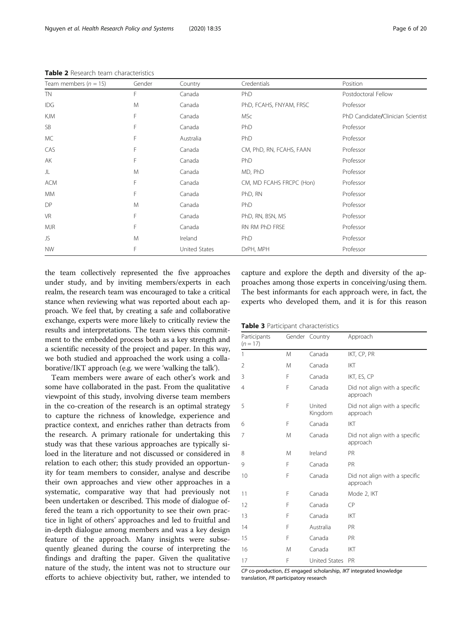| Team members ( $n = 15$ ) | Gender | Country       | Credentials              | Position                          |
|---------------------------|--------|---------------|--------------------------|-----------------------------------|
| TN                        | F.     | Canada        | PhD                      | Postdoctoral Fellow               |
| IDG                       | M      | Canada        | PhD, FCAHS, FNYAM, FRSC  | Professor                         |
| <b>KJM</b>                | F      | Canada        | <b>MSc</b>               | PhD Candidate/Clinician Scientist |
| <b>SB</b>                 | F      | Canada        | PhD                      | Professor                         |
| MC                        |        | Australia     | PhD                      | Professor                         |
| CAS                       |        | Canada        | CM, PhD, RN, FCAHS, FAAN | Professor                         |
| AK                        | F      | Canada        | PhD                      | Professor                         |
| JL                        | M      | Canada        | MD, PhD                  | Professor                         |
| <b>ACM</b>                | F      | Canada        | CM, MD FCAHS FRCPC (Hon) | Professor                         |
| MM.                       | F      | Canada        | PhD, RN                  | Professor                         |
| DP                        | M      | Canada        | PhD                      | Professor                         |
| <b>VR</b>                 | F      | Canada        | PhD, RN, BSN, MS         | Professor                         |
| <b>MJR</b>                | F      | Canada        | RN RM PhD FRSE           | Professor                         |
| JS                        | M      | Ireland       | <b>PhD</b>               | Professor                         |
| <b>NW</b>                 | F      | United States | DrPH, MPH                | Professor                         |

<span id="page-5-0"></span>Table 2 Research team characteristics

the team collectively represented the five approaches under study, and by inviting members/experts in each realm, the research team was encouraged to take a critical stance when reviewing what was reported about each approach. We feel that, by creating a safe and collaborative exchange, experts were more likely to critically review the results and interpretations. The team views this commitment to the embedded process both as a key strength and a scientific necessity of the project and paper. In this way, we both studied and approached the work using a collaborative/IKT approach (e.g. we were 'walking the talk').

Team members were aware of each other's work and some have collaborated in the past. From the qualitative viewpoint of this study, involving diverse team members in the co-creation of the research is an optimal strategy to capture the richness of knowledge, experience and practice context, and enriches rather than detracts from the research. A primary rationale for undertaking this study was that these various approaches are typically siloed in the literature and not discussed or considered in relation to each other; this study provided an opportunity for team members to consider, analyse and describe their own approaches and view other approaches in a systematic, comparative way that had previously not been undertaken or described. This mode of dialogue offered the team a rich opportunity to see their own practice in light of others' approaches and led to fruitful and in-depth dialogue among members and was a key design feature of the approach. Many insights were subsequently gleaned during the course of interpreting the findings and drafting the paper. Given the qualitative nature of the study, the intent was not to structure our efforts to achieve objectivity but, rather, we intended to capture and explore the depth and diversity of the approaches among those experts in conceiving/using them. The best informants for each approach were, in fact, the experts who developed them, and it is for this reason

Table 3 Participant characteristics

| Participants<br>$(n = 17)$ |   | Gender Country       | Approach                                  |
|----------------------------|---|----------------------|-------------------------------------------|
| 1                          | M | Canada               | IKT, CP, PR                               |
| 2                          | M | Canada               | IKT                                       |
| 3                          | F | Canada               | IKT, ES, CP                               |
| 4                          | F | Canada               | Did not align with a specific<br>approach |
| 5                          | F | United<br>Kingdom    | Did not align with a specific<br>approach |
| 6                          | F | Canada               | IKT                                       |
| 7                          | M | Canada               | Did not align with a specific<br>approach |
| 8                          | M | Ireland              | PR                                        |
| 9                          | F | Canada               | PR                                        |
| 10                         | F | Canada               | Did not align with a specific<br>approach |
| 11                         | F | Canada               | Mode 2, IKT                               |
| 12                         | F | Canada               | CP                                        |
| 13                         | F | Canada               | IKT                                       |
| 14                         | F | Australia            | PR                                        |
| 15                         | F | Canada               | <b>PR</b>                                 |
| 16                         | M | Canada               | IKT                                       |
| 17                         | F | <b>United States</b> | <b>PR</b>                                 |

CP co-production, ES engaged scholarship, IKT integrated knowledge translation, PR participatory research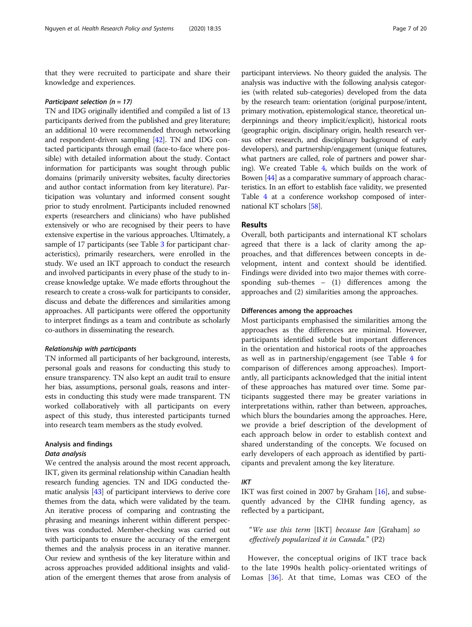that they were recruited to participate and share their knowledge and experiences.

#### Participant selection ( $n = 17$ )

TN and IDG originally identified and compiled a list of 13 participants derived from the published and grey literature; an additional 10 were recommended through networking and respondent-driven sampling [[42](#page-17-0)]. TN and IDG contacted participants through email (face-to-face where possible) with detailed information about the study. Contact information for participants was sought through public domains (primarily university websites, faculty directories and author contact information from key literature). Participation was voluntary and informed consent sought prior to study enrolment. Participants included renowned experts (researchers and clinicians) who have published extensively or who are recognised by their peers to have extensive expertise in the various approaches. Ultimately, a sample of 17 participants (see Table [3](#page-5-0) for participant characteristics), primarily researchers, were enrolled in the study. We used an IKT approach to conduct the research and involved participants in every phase of the study to increase knowledge uptake. We made efforts throughout the research to create a cross-walk for participants to consider, discuss and debate the differences and similarities among approaches. All participants were offered the opportunity to interpret findings as a team and contribute as scholarly co-authors in disseminating the research.

## Relationship with participants

TN informed all participants of her background, interests, personal goals and reasons for conducting this study to ensure transparency. TN also kept an audit trail to ensure her bias, assumptions, personal goals, reasons and interests in conducting this study were made transparent. TN worked collaboratively with all participants on every aspect of this study, thus interested participants turned into research team members as the study evolved.

# Analysis and findings Data analysis

We centred the analysis around the most recent approach, IKT, given its germinal relationship within Canadian health research funding agencies. TN and IDG conducted thematic analysis [[43](#page-17-0)] of participant interviews to derive core themes from the data, which were validated by the team. An iterative process of comparing and contrasting the phrasing and meanings inherent within different perspectives was conducted. Member-checking was carried out with participants to ensure the accuracy of the emergent themes and the analysis process in an iterative manner. Our review and synthesis of the key literature within and across approaches provided additional insights and validation of the emergent themes that arose from analysis of participant interviews. No theory guided the analysis. The analysis was inductive with the following analysis categories (with related sub-categories) developed from the data by the research team: orientation (original purpose/intent, primary motivation, epistemological stance, theoretical underpinnings and theory implicit/explicit), historical roots (geographic origin, disciplinary origin, health research versus other research, and disciplinary background of early developers), and partnership/engagement (unique features, what partners are called, role of partners and power sharing). We created Table [4](#page-7-0), which builds on the work of Bowen [\[44\]](#page-17-0) as a comparative summary of approach characteristics. In an effort to establish face validity, we presented Table [4](#page-7-0) at a conference workshop composed of international KT scholars [\[58\]](#page-17-0).

# Results

Overall, both participants and international KT scholars agreed that there is a lack of clarity among the approaches, and that differences between concepts in development, intent and context should be identified. Findings were divided into two major themes with corresponding sub-themes – (1) differences among the approaches and (2) similarities among the approaches.

## Differences among the approaches

Most participants emphasised the similarities among the approaches as the differences are minimal. However, participants identified subtle but important differences in the orientation and historical roots of the approaches as well as in partnership/engagement (see Table [4](#page-7-0) for comparison of differences among approaches). Importantly, all participants acknowledged that the initial intent of these approaches has matured over time. Some participants suggested there may be greater variations in interpretations within, rather than between, approaches, which blurs the boundaries among the approaches. Here, we provide a brief description of the development of each approach below in order to establish context and shared understanding of the concepts. We focused on early developers of each approach as identified by participants and prevalent among the key literature.

## IKT

IKT was first coined in 2007 by Graham [[16](#page-17-0)], and subsequently advanced by the CIHR funding agency, as reflected by a participant,

"We use this term [IKT] because Ian [Graham] so effectively popularized it in Canada." (P2)

However, the conceptual origins of IKT trace back to the late 1990s health policy-orientated writings of Lomas [[36\]](#page-17-0). At that time, Lomas was CEO of the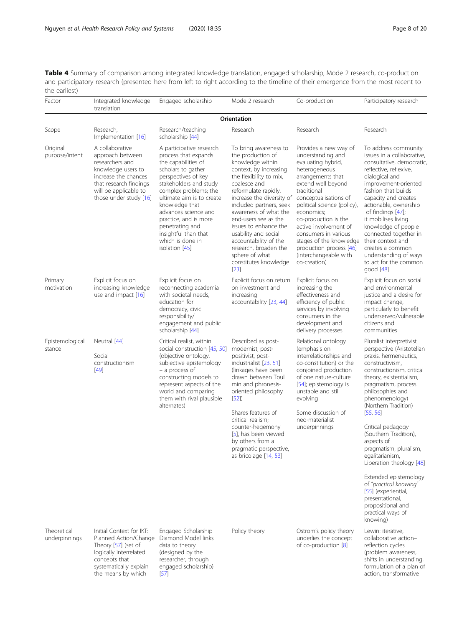<span id="page-7-0"></span>Table 4 Summary of comparison among integrated knowledge translation, engaged scholarship, Mode 2 research, co-production and participatory research (presented here from left to right according to the timeline of their emergence from the most recent to the earliest)

| Factor                       | Integrated knowledge<br>translation                                                                                                                                               | Engaged scholarship                                                                                                                                                                                                                                                                                                                                      | Mode 2 research                                                                                                                                                                                                                                                                                                                                                                                                                                  | Co-production                                                                                                                                                                                                                                                                                                                                                    | Participatory research                                                                                                                                                                                                                                                                                                                                                                                                                                                                                                                 |
|------------------------------|-----------------------------------------------------------------------------------------------------------------------------------------------------------------------------------|----------------------------------------------------------------------------------------------------------------------------------------------------------------------------------------------------------------------------------------------------------------------------------------------------------------------------------------------------------|--------------------------------------------------------------------------------------------------------------------------------------------------------------------------------------------------------------------------------------------------------------------------------------------------------------------------------------------------------------------------------------------------------------------------------------------------|------------------------------------------------------------------------------------------------------------------------------------------------------------------------------------------------------------------------------------------------------------------------------------------------------------------------------------------------------------------|----------------------------------------------------------------------------------------------------------------------------------------------------------------------------------------------------------------------------------------------------------------------------------------------------------------------------------------------------------------------------------------------------------------------------------------------------------------------------------------------------------------------------------------|
|                              |                                                                                                                                                                                   |                                                                                                                                                                                                                                                                                                                                                          | Orientation                                                                                                                                                                                                                                                                                                                                                                                                                                      |                                                                                                                                                                                                                                                                                                                                                                  |                                                                                                                                                                                                                                                                                                                                                                                                                                                                                                                                        |
| Scope                        | Research,<br>Implementation [16]                                                                                                                                                  | Research/teaching<br>scholarship [44]                                                                                                                                                                                                                                                                                                                    | Research                                                                                                                                                                                                                                                                                                                                                                                                                                         | Research                                                                                                                                                                                                                                                                                                                                                         | Research                                                                                                                                                                                                                                                                                                                                                                                                                                                                                                                               |
| Original<br>purpose/intent   | A collaborative<br>approach between<br>researchers and<br>knowledge users to<br>increase the chances<br>that research findings<br>will be applicable to<br>those under study [16] | A participative research<br>process that expands<br>the capabilities of<br>scholars to gather<br>perspectives of key<br>stakeholders and study<br>complex problems; the<br>ultimate aim is to create<br>knowledge that<br>advances science and<br>practice, and is more<br>penetrating and<br>insightful than that<br>which is done in<br>isolation [45] | To bring awareness to<br>the production of<br>knowledge within<br>context, by increasing<br>the flexibility to mix,<br>coalesce and<br>reformulate rapidly,<br>increase the diversity of conceptualisations of<br>included partners, seek<br>awareness of what the<br>end-users see as the<br>issues to enhance the<br>usability and social<br>accountability of the<br>research, broaden the<br>sphere of what<br>constitutes knowledge<br>[23] | Provides a new way of<br>understanding and<br>evaluating hybrid,<br>heterogeneous<br>arrangements that<br>extend well beyond<br>traditional<br>political science (policy),<br>economics;<br>co-production is the<br>active involvement of<br>consumers in various<br>stages of the knowledge<br>production process [46]<br>(interchangeable with<br>co-creation) | To address community<br>issues in a collaborative,<br>consultative, democratic,<br>reflective, reflexive,<br>dialogical and<br>improvement-oriented<br>fashion that builds<br>capacity and creates<br>actionable, ownership<br>of findings [47];<br>it mobilises living<br>knowledge of people<br>connected together in<br>their context and<br>creates a common<br>understanding of ways<br>to act for the common<br>good [48]                                                                                                        |
| Primary<br>motivation        | Explicit focus on<br>increasing knowledge<br>use and impact [16]                                                                                                                  | Explicit focus on<br>reconnecting academia<br>with societal needs,<br>education for<br>democracy, civic<br>responsibility/<br>engagement and public<br>scholarship [44]                                                                                                                                                                                  | Explicit focus on return<br>on investment and<br>increasing<br>accountability [23, 44]                                                                                                                                                                                                                                                                                                                                                           | Explicit focus on<br>increasing the<br>effectiveness and<br>efficiency of public<br>services by involving<br>consumers in the<br>development and<br>delivery processes                                                                                                                                                                                           | Explicit focus on social<br>and environmental<br>justice and a desire for<br>impact change,<br>particularly to benefit<br>underserved/vulnerable<br>citizens and<br>communities                                                                                                                                                                                                                                                                                                                                                        |
| Epistemological<br>stance    | Neutral [44]<br>Social<br>constructionism<br>$[49]$                                                                                                                               | Critical realist, within<br>social construction [45, 50]<br>(objective ontology,<br>subjective epistemology<br>- a process of<br>constructing models to<br>represent aspects of the<br>world and comparing<br>them with rival plausible<br>alternates)                                                                                                   | Described as post-<br>modernist, post-<br>positivist, post-<br>industrialist [23, 51]<br>(linkages have been<br>drawn between Toul<br>min and phronesis-<br>oriented philosophy<br>[52]<br>Shares features of<br>critical realism;<br>counter-hegemony<br>[5], has been viewed<br>by others from a<br>pragmatic perspective,<br>as bricolage [14, 53]                                                                                            | Relational ontology<br>(emphasis on<br>interrelationships and<br>co-constitution) or the<br>conjoined production<br>of one nature-culture<br>[54]; epistemology is<br>unstable and still<br>evolving<br>Some discussion of<br>neo-materialist<br>underpinnings                                                                                                   | Pluralist interpretivist<br>perspective (Aristotelian<br>praxis, hermeneutics,<br>constructivism,<br>constructionism, critical<br>theory, existentialism,<br>pragmatism, process<br>philosophies and<br>phenomenology)<br>(Northern Tradition)<br>[55, 56]<br>Critical pedagogy<br>(Southern Tradition),<br>aspects of<br>pragmatism, pluralism,<br>egalitarianism,<br>Liberation theology [48]<br>Extended epistemology<br>of "practical knowing"<br>[55] (experiential,<br>presentational,<br>propositional and<br>practical ways of |
| Theoretical<br>underpinnings | Initial Context for IKT:<br>Planned Action/Change<br>Theory [57] (set of<br>logically interrelated<br>concepts that<br>systematically explain<br>the means by which               | Engaged Scholarship<br>Diamond Model links<br>data to theory<br>(designed by the<br>researcher, through<br>engaged scholarship)<br>$[57]$                                                                                                                                                                                                                | Policy theory                                                                                                                                                                                                                                                                                                                                                                                                                                    | Ostrom's policy theory<br>underlies the concept<br>of co-production [8]                                                                                                                                                                                                                                                                                          | knowing)<br>Lewin: iterative,<br>collaborative action-<br>reflection cycles<br>(problem awareness,<br>shifts in understanding,<br>formulation of a plan of<br>action, transformative                                                                                                                                                                                                                                                                                                                                                   |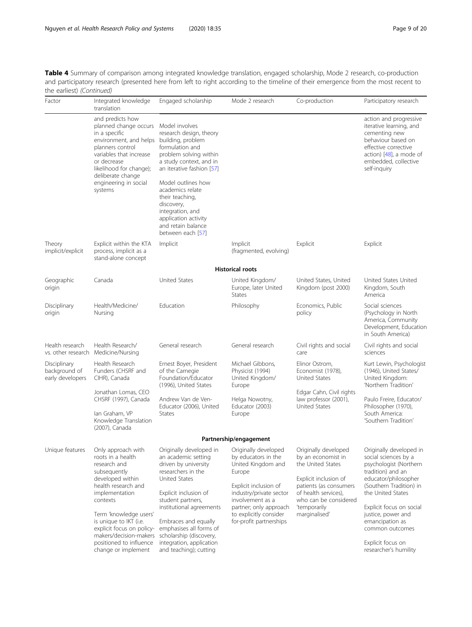Table 4 Summary of comparison among integrated knowledge translation, engaged scholarship, Mode 2 research, co-production and participatory research (presented here from left to right according to the timeline of their emergence from the most recent to the earliest) (Continued)

| Factor                                                                                                                        | Integrated knowledge<br>translation                                                                                                                                                                                                                                                                           | Engaged scholarship                                                                                                                                                                                                                                                                                                                   | Mode 2 research                                                                                                                                                                                                                    | Co-production                                                                                                                                                                                        | Participatory research                                                                                                                                                                                                                                                                                       |
|-------------------------------------------------------------------------------------------------------------------------------|---------------------------------------------------------------------------------------------------------------------------------------------------------------------------------------------------------------------------------------------------------------------------------------------------------------|---------------------------------------------------------------------------------------------------------------------------------------------------------------------------------------------------------------------------------------------------------------------------------------------------------------------------------------|------------------------------------------------------------------------------------------------------------------------------------------------------------------------------------------------------------------------------------|------------------------------------------------------------------------------------------------------------------------------------------------------------------------------------------------------|--------------------------------------------------------------------------------------------------------------------------------------------------------------------------------------------------------------------------------------------------------------------------------------------------------------|
|                                                                                                                               | and predicts how<br>planned change occurs<br>in a specific<br>environment, and helps<br>planners control<br>variables that increase<br>or decrease<br>likelihood for change);<br>deliberate change<br>engineering in social<br>systems                                                                        | Model involves<br>research design, theory<br>building, problem<br>formulation and<br>problem solving within<br>a study context, and in<br>an iterative fashion [57]<br>Model outlines how<br>academics relate<br>their teaching,<br>discovery,<br>integration, and<br>application activity<br>and retain balance<br>between each [57] |                                                                                                                                                                                                                                    |                                                                                                                                                                                                      | action and progressive<br>iterative learning, and<br>cementing new<br>behaviour based on<br>effective corrective<br>action) $[48]$ , a mode of<br>embedded, collective<br>self-inquiry                                                                                                                       |
| Theory<br>implicit/explicit                                                                                                   | Explicit within the KTA<br>process, implicit as a<br>stand-alone concept                                                                                                                                                                                                                                      | Implicit                                                                                                                                                                                                                                                                                                                              | Implicit<br>(fragmented, evolving)                                                                                                                                                                                                 | Explicit                                                                                                                                                                                             | Explicit                                                                                                                                                                                                                                                                                                     |
|                                                                                                                               |                                                                                                                                                                                                                                                                                                               |                                                                                                                                                                                                                                                                                                                                       | <b>Historical roots</b>                                                                                                                                                                                                            |                                                                                                                                                                                                      |                                                                                                                                                                                                                                                                                                              |
| Geographic<br>origin                                                                                                          | Canada                                                                                                                                                                                                                                                                                                        | United States                                                                                                                                                                                                                                                                                                                         | United Kingdom/<br>Europe, later United<br><b>States</b>                                                                                                                                                                           | United States, United<br>Kingdom (post 2000)                                                                                                                                                         | United States United<br>Kingdom, South<br>America                                                                                                                                                                                                                                                            |
| Disciplinary<br>origin                                                                                                        | Health/Medicine/<br>Nursing                                                                                                                                                                                                                                                                                   | Education                                                                                                                                                                                                                                                                                                                             | Philosophy                                                                                                                                                                                                                         | Economics, Public<br>policy                                                                                                                                                                          | Social sciences<br>(Psychology in North<br>America, Community<br>Development, Education<br>in South America)                                                                                                                                                                                                 |
| Health research                                                                                                               | Health Research/<br>vs. other research Medicine/Nursing                                                                                                                                                                                                                                                       | General research                                                                                                                                                                                                                                                                                                                      | General research                                                                                                                                                                                                                   | Civil rights and social<br>care                                                                                                                                                                      | Civil rights and social<br>sciences                                                                                                                                                                                                                                                                          |
| Disciplinary<br>background of<br>early developers<br>CIHR), Canada<br>Jonathan Lomas, CEO<br>Ian Graham, VP<br>(2007), Canada | Health Research<br>Funders (CHSRF and                                                                                                                                                                                                                                                                         | Ernest Boyer, President<br>of the Carnegie<br>Foundation/Educator<br>(1996), United States                                                                                                                                                                                                                                            | Michael Gibbons,<br>Physicist (1994)<br>United Kingdom/<br>Europe                                                                                                                                                                  | Elinor Ostrom,<br>Economist (1978),<br><b>United States</b><br>Edgar Cahn, Civil rights<br>law professor (2001),<br><b>United States</b>                                                             | Kurt Lewin, Psychologist<br>(1946), United States/<br>United Kingdom:<br>'Northern Tradition'                                                                                                                                                                                                                |
|                                                                                                                               | CHSRF (1997), Canada<br>Knowledge Translation                                                                                                                                                                                                                                                                 | Andrew Van de Ven-<br>Educator (2006), United<br><b>States</b>                                                                                                                                                                                                                                                                        | Helga Nowotny,<br>Educator (2003)<br>Europe                                                                                                                                                                                        |                                                                                                                                                                                                      | Paulo Freire, Educator/<br>Philosopher (1970),<br>South America:<br>'Southern Tradition'                                                                                                                                                                                                                     |
|                                                                                                                               |                                                                                                                                                                                                                                                                                                               |                                                                                                                                                                                                                                                                                                                                       | Partnership/engagement                                                                                                                                                                                                             |                                                                                                                                                                                                      |                                                                                                                                                                                                                                                                                                              |
| Unique features                                                                                                               | Only approach with<br>roots in a health<br>research and<br>subsequently<br>developed within<br>health research and<br>implementation<br>contexts<br>Term 'knowledge users'<br>is unique to IKT (i.e.<br>explicit focus on policy-<br>makers/decision-makers<br>positioned to influence<br>change or implement | Originally developed in<br>an academic setting<br>driven by university<br>researchers in the<br>United States<br>Explicit inclusion of<br>student partners,<br>institutional agreements<br>Embraces and equally<br>emphasises all forms of<br>scholarship (discovery,<br>integration, application<br>and teaching); cutting           | Originally developed<br>by educators in the<br>United Kingdom and<br>Europe<br>Explicit inclusion of<br>industry/private sector<br>involvement as a<br>partner; only approach<br>to explicitly consider<br>for-profit partnerships | Originally developed<br>by an economist in<br>the United States<br>Explicit inclusion of<br>patients (as consumers<br>of health services),<br>who can be considered<br>'temporarily<br>marginalised' | Originally developed in<br>social sciences by a<br>psychologist (Northern<br>tradition) and an<br>educator/philosopher<br>(Southern Tradition) in<br>the United States<br>Explicit focus on social<br>justice, power and<br>emancipation as<br>common outcomes<br>Explicit focus on<br>researcher's humility |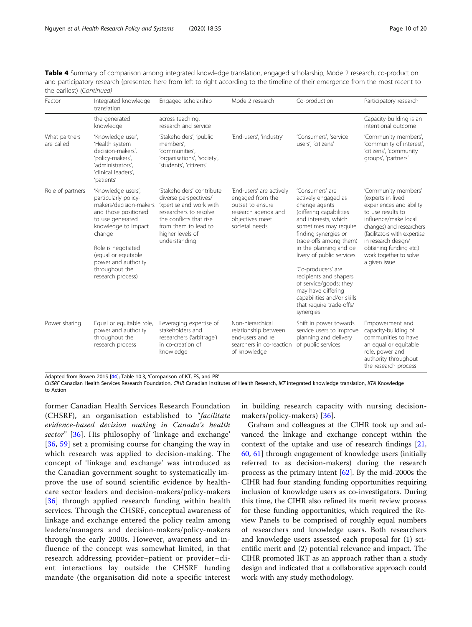| Table 4 Summary of comparison among integrated knowledge translation, engaged scholarship, Mode 2 research, co-production          |
|------------------------------------------------------------------------------------------------------------------------------------|
| and participatory research (presented here from left to right according to the timeline of their emergence from the most recent to |
| the earliest) (Continued)                                                                                                          |

| Factor                      | Integrated knowledge<br>translation                                                                                                                                                                                                                          | Engaged scholarship                                                                                                                                                                             | Mode 2 research                                                                                                              | Co-production                                                                                                                                                                                                                                                                                                                                                                                                       | Participatory research                                                                                                                                                                                                                                                    |
|-----------------------------|--------------------------------------------------------------------------------------------------------------------------------------------------------------------------------------------------------------------------------------------------------------|-------------------------------------------------------------------------------------------------------------------------------------------------------------------------------------------------|------------------------------------------------------------------------------------------------------------------------------|---------------------------------------------------------------------------------------------------------------------------------------------------------------------------------------------------------------------------------------------------------------------------------------------------------------------------------------------------------------------------------------------------------------------|---------------------------------------------------------------------------------------------------------------------------------------------------------------------------------------------------------------------------------------------------------------------------|
|                             | the generated<br>knowledge                                                                                                                                                                                                                                   | across teaching,<br>research and service                                                                                                                                                        |                                                                                                                              |                                                                                                                                                                                                                                                                                                                                                                                                                     | Capacity-building is an<br>intentional outcome                                                                                                                                                                                                                            |
| What partners<br>are called | 'Knowledge user',<br>'Health system<br>decision-makers'.<br>'policy-makers',<br>'administrators',<br>'clinical leaders',<br>'patients'                                                                                                                       | 'Stakeholders', 'public<br>members',<br>'communities'.<br>'organisations', 'society',<br>'students', 'citizens'                                                                                 | 'End-users', 'industry'                                                                                                      | 'Consumers', 'service<br>users', 'citizens'                                                                                                                                                                                                                                                                                                                                                                         | 'Community members',<br>'community of interest',<br>'citizens', 'community<br>groups', 'partners'                                                                                                                                                                         |
| Role of partners            | 'Knowledge users',<br>particularly policy-<br>makers/decision-makers<br>and those positioned<br>to use generated<br>knowledge to impact<br>change<br>Role is negotiated<br>(equal or equitable<br>power and authority<br>throughout the<br>research process) | 'Stakeholders' contribute<br>diverse perspectives/<br>'xpertise and work with<br>researchers to resolve<br>the conflicts that rise<br>from them to lead to<br>higher levels of<br>understanding | 'End-users' are actively<br>engaged from the<br>outset to ensure<br>research agenda and<br>objectives meet<br>societal needs | 'Consumers' are<br>actively engaged as<br>change agents<br>(differing capabilities<br>and interests, which<br>sometimes may require<br>finding synergies or<br>trade-offs among them)<br>in the planning and de<br>livery of public services<br>'Co-producers' are<br>recipients and shapers<br>of service/goods; they<br>may have differing<br>capabilities and/or skills<br>that require trade-offs/<br>synergies | 'Community members'<br>(experts in lived<br>experiences and ability<br>to use results to<br>influence/make local<br>changes) and researchers<br>(facilitators with expertise<br>in research design/<br>obtaining funding etc.)<br>work together to solve<br>a given issue |
| Power sharing               | Equal or equitable role,<br>power and authority<br>throughout the<br>research process                                                                                                                                                                        | Leveraging expertise of<br>stakeholders and<br>researchers ('arbitrage')<br>in co-creation of<br>knowledge                                                                                      | Non-hierarchical<br>relationship between<br>end-users and re<br>searchers in co-reaction<br>of knowledge                     | Shift in power towards<br>service users to improve<br>planning and delivery<br>of public services                                                                                                                                                                                                                                                                                                                   | Empowerment and<br>capacity-building of<br>communities to have<br>an equal or equitable<br>role, power and<br>authority throughout<br>the research process                                                                                                                |

Adapted from Bowen 2015 [[44\]](#page-17-0); Table 10.3, 'Comparison of KT, ES, and PR'

CHSRF Canadian Health Services Research Foundation, CIHR Canadian Institutes of Health Research, IKT integrated knowledge translation, KTA Knowledge to Action

former Canadian Health Services Research Foundation (CHSRF), an organisation established to "facilitate evidence-based decision making in Canada's health sector" [[36](#page-17-0)]. His philosophy of 'linkage and exchange' [[36](#page-17-0), [59\]](#page-17-0) set a promising course for changing the way in which research was applied to decision-making. The concept of 'linkage and exchange' was introduced as the Canadian government sought to systematically improve the use of sound scientific evidence by healthcare sector leaders and decision-makers/policy-makers [[36](#page-17-0)] through applied research funding within health services. Through the CHSRF, conceptual awareness of linkage and exchange entered the policy realm among leaders/managers and decision-makers/policy-makers through the early 2000s. However, awareness and influence of the concept was somewhat limited, in that research addressing provider–patient or provider–client interactions lay outside the CHSRF funding mandate (the organisation did note a specific interest in building research capacity with nursing decisionmakers/policy-makers) [[36\]](#page-17-0).

Graham and colleagues at the CIHR took up and advanced the linkage and exchange concept within the context of the uptake and use of research findings [[21](#page-17-0), [60,](#page-17-0) [61\]](#page-17-0) through engagement of knowledge users (initially referred to as decision-makers) during the research process as the primary intent  $[62]$  $[62]$  $[62]$ . By the mid-2000s the CIHR had four standing funding opportunities requiring inclusion of knowledge users as co-investigators. During this time, the CIHR also refined its merit review process for these funding opportunities, which required the Review Panels to be comprised of roughly equal numbers of researchers and knowledge users. Both researchers and knowledge users assessed each proposal for (1) scientific merit and (2) potential relevance and impact. The CIHR promoted IKT as an approach rather than a study design and indicated that a collaborative approach could work with any study methodology.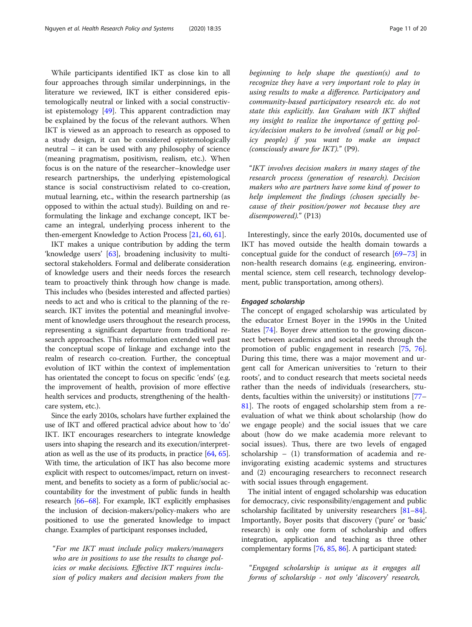While participants identified IKT as close kin to all four approaches through similar underpinnings, in the literature we reviewed, IKT is either considered epistemologically neutral or linked with a social constructivist epistemology [[49\]](#page-17-0). This apparent contradiction may be explained by the focus of the relevant authors. When IKT is viewed as an approach to research as opposed to a study design, it can be considered epistemologically neutral – it can be used with any philosophy of science (meaning pragmatism, positivism, realism, etc.). When focus is on the nature of the researcher–knowledge user research partnerships, the underlying epistemological stance is social constructivism related to co-creation, mutual learning, etc., within the research partnership (as opposed to within the actual study). Building on and reformulating the linkage and exchange concept, IKT became an integral, underlying process inherent to the then-emergent Knowledge to Action Process [[21](#page-17-0), [60,](#page-17-0) [61](#page-17-0)].

IKT makes a unique contribution by adding the term 'knowledge users' [\[63\]](#page-17-0), broadening inclusivity to multisectoral stakeholders. Formal and deliberate consideration of knowledge users and their needs forces the research team to proactively think through how change is made. This includes who (besides interested and affected parties) needs to act and who is critical to the planning of the research. IKT invites the potential and meaningful involvement of knowledge users throughout the research process, representing a significant departure from traditional research approaches. This reformulation extended well past the conceptual scope of linkage and exchange into the realm of research co-creation. Further, the conceptual evolution of IKT within the context of implementation has orientated the concept to focus on specific 'ends' (e.g. the improvement of health, provision of more effective health services and products, strengthening of the healthcare system, etc.).

Since the early 2010s, scholars have further explained the use of IKT and offered practical advice about how to 'do' IKT. IKT encourages researchers to integrate knowledge users into shaping the research and its execution/interpretation as well as the use of its products, in practice [\[64,](#page-17-0) [65](#page-17-0)]. With time, the articulation of IKT has also become more explicit with respect to outcomes/impact, return on investment, and benefits to society as a form of public/social accountability for the investment of public funds in health research [[66](#page-18-0)–[68](#page-18-0)]. For example, IKT explicitly emphasises the inclusion of decision-makers/policy-makers who are positioned to use the generated knowledge to impact change. Examples of participant responses included,

"For me IKT must include policy makers/managers who are in positions to use the results to change policies or make decisions. Effective IKT requires inclusion of policy makers and decision makers from the beginning to help shape the question(s) and to recognize they have a very important role to play in using results to make a difference. Participatory and community-based participatory research etc. do not state this explicitly. Ian Graham with IKT shifted my insight to realize the importance of getting policy/decision makers to be involved (small or big policy people) if you want to make an impact (consciously aware for IKT)." (P9).

"IKT involves decision makers in many stages of the research process (generation of research). Decision makers who are partners have some kind of power to help implement the findings (chosen specially because of their position/power not because they are disempowered)." (P13)

Interestingly, since the early 2010s, documented use of IKT has moved outside the health domain towards a conceptual guide for the conduct of research [\[69](#page-18-0)–[73\]](#page-18-0) in non-health research domains (e.g. engineering, environmental science, stem cell research, technology development, public transportation, among others).

## Engaged scholarship

The concept of engaged scholarship was articulated by the educator Ernest Boyer in the 1990s in the United States [\[74](#page-18-0)]. Boyer drew attention to the growing disconnect between academics and societal needs through the promotion of public engagement in research [\[75](#page-18-0), [76](#page-18-0)]. During this time, there was a major movement and urgent call for American universities to 'return to their roots', and to conduct research that meets societal needs rather than the needs of individuals (researchers, students, faculties within the university) or institutions [[77](#page-18-0)– [81\]](#page-18-0). The roots of engaged scholarship stem from a reevaluation of what we think about scholarship (how do we engage people) and the social issues that we care about (how do we make academia more relevant to social issues). Thus, there are two levels of engaged scholarship – (1) transformation of academia and reinvigorating existing academic systems and structures and (2) encouraging researchers to reconnect research with social issues through engagement.

The initial intent of engaged scholarship was education for democracy, civic responsibility/engagement and public scholarship facilitated by university researchers [\[81](#page-18-0)–[84](#page-18-0)]. Importantly, Boyer posits that discovery ('pure' or 'basic' research) is only one form of scholarship and offers integration, application and teaching as three other complementary forms [[76](#page-18-0), [85,](#page-18-0) [86\]](#page-18-0). A participant stated:

"Engaged scholarship is unique as it engages all forms of scholarship - not only 'discovery' research,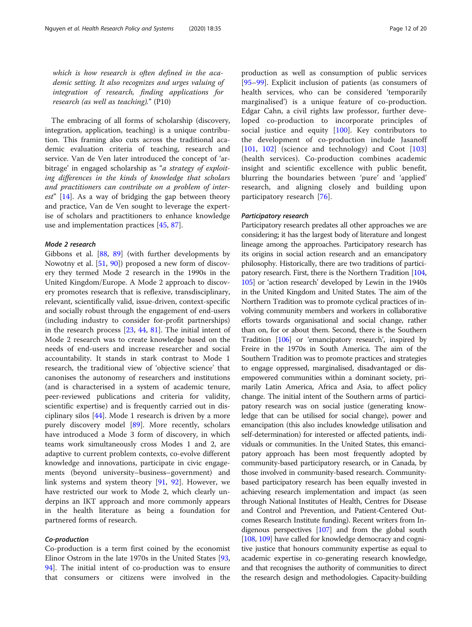which is how research is often defined in the academic setting. It also recognizes and urges valuing of integration of research, finding applications for research (as well as teaching)." (P10)

The embracing of all forms of scholarship (discovery, integration, application, teaching) is a unique contribution. This framing also cuts across the traditional academic evaluation criteria of teaching, research and service. Van de Ven later introduced the concept of 'arbitrage' in engaged scholarship as "a strategy of exploiting differences in the kinds of knowledge that scholars and practitioners can contribute on a problem of interest" [\[14](#page-16-0)]. As a way of bridging the gap between theory and practice, Van de Ven sought to leverage the expertise of scholars and practitioners to enhance knowledge use and implementation practices [[45,](#page-17-0) [87\]](#page-18-0).

#### Mode 2 research

Gibbons et al. [[88](#page-18-0), [89](#page-18-0)] (with further developments by Nowotny et al. [[51,](#page-17-0) [90\]](#page-18-0)) proposed a new form of discovery they termed Mode 2 research in the 1990s in the United Kingdom/Europe. A Mode 2 approach to discovery promotes research that is reflexive, transdisciplinary, relevant, scientifically valid, issue-driven, context-specific and socially robust through the engagement of end-users (including industry to consider for-profit partnerships) in the research process [\[23,](#page-17-0) [44](#page-17-0), [81\]](#page-18-0). The initial intent of Mode 2 research was to create knowledge based on the needs of end-users and increase researcher and social accountability. It stands in stark contrast to Mode 1 research, the traditional view of 'objective science' that canonises the autonomy of researchers and institutions (and is characterised in a system of academic tenure, peer-reviewed publications and criteria for validity, scientific expertise) and is frequently carried out in disciplinary silos [\[44](#page-17-0)]. Mode 1 research is driven by a more purely discovery model [\[89](#page-18-0)]. More recently, scholars have introduced a Mode 3 form of discovery, in which teams work simultaneously cross Modes 1 and 2, are adaptive to current problem contexts, co-evolve different knowledge and innovations, participate in civic engagements (beyond university–business–government) and link systems and system theory [\[91](#page-18-0), [92\]](#page-18-0). However, we have restricted our work to Mode 2, which clearly underpins an IKT approach and more commonly appears in the health literature as being a foundation for partnered forms of research.

# Co-production

Co-production is a term first coined by the economist Elinor Ostrom in the late 1970s in the United States [[93](#page-18-0), [94\]](#page-18-0). The initial intent of co-production was to ensure that consumers or citizens were involved in the production as well as consumption of public services [[95](#page-18-0)–[99](#page-18-0)]. Explicit inclusion of patients (as consumers of health services, who can be considered 'temporarily marginalised') is a unique feature of co-production. Edgar Cahn, a civil rights law professor, further developed co-production to incorporate principles of social justice and equity [[100\]](#page-18-0). Key contributors to the development of co-production include Jasanoff [[101,](#page-18-0) [102\]](#page-18-0) (science and technology) and Coot [\[103](#page-18-0)] (health services). Co-production combines academic insight and scientific excellence with public benefit, blurring the boundaries between 'pure' and 'applied' research, and aligning closely and building upon participatory research [[76\]](#page-18-0).

#### Participatory research

Participatory research predates all other approaches we are considering; it has the largest body of literature and longest lineage among the approaches. Participatory research has its origins in social action research and an emancipatory philosophy. Historically, there are two traditions of participatory research. First, there is the Northern Tradition [\[104](#page-18-0), [105](#page-18-0)] or 'action research' developed by Lewin in the 1940s in the United Kingdom and United States. The aim of the Northern Tradition was to promote cyclical practices of involving community members and workers in collaborative efforts towards organisational and social change, rather than on, for or about them. Second, there is the Southern Tradition [[106](#page-18-0)] or 'emancipatory research', inspired by Freire in the 1970s in South America. The aim of the Southern Tradition was to promote practices and strategies to engage oppressed, marginalised, disadvantaged or disempowered communities within a dominant society, primarily Latin America, Africa and Asia, to affect policy change. The initial intent of the Southern arms of participatory research was on social justice (generating knowledge that can be utilised for social change), power and emancipation (this also includes knowledge utilisation and self-determination) for interested or affected patients, individuals or communities. In the United States, this emancipatory approach has been most frequently adopted by community-based participatory research, or in Canada, by those involved in community-based research. Communitybased participatory research has been equally invested in achieving research implementation and impact (as seen through National Institutes of Health, Centres for Disease and Control and Prevention, and Patient-Centered Outcomes Research Institute funding). Recent writers from Indigenous perspectives [[107](#page-18-0)] and from the global south [[108](#page-18-0), [109\]](#page-18-0) have called for knowledge democracy and cognitive justice that honours community expertise as equal to academic expertise in co-generating research knowledge, and that recognises the authority of communities to direct the research design and methodologies. Capacity-building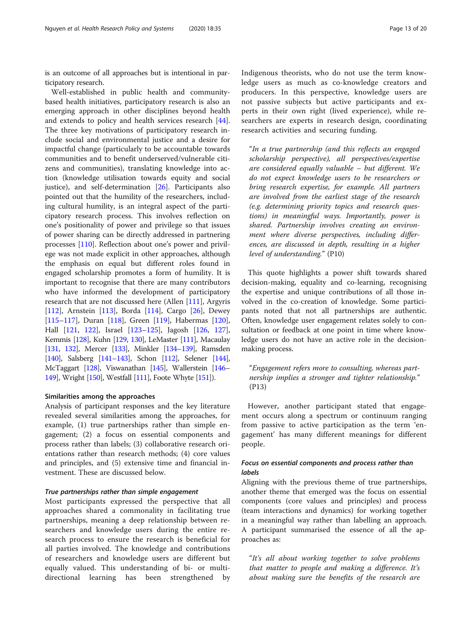is an outcome of all approaches but is intentional in participatory research.

Well-established in public health and communitybased health initiatives, participatory research is also an emerging approach in other disciplines beyond health and extends to policy and health services research [\[44](#page-17-0)]. The three key motivations of participatory research include social and environmental justice and a desire for impactful change (particularly to be accountable towards communities and to benefit underserved/vulnerable citizens and communities), translating knowledge into action (knowledge utilisation towards equity and social justice), and self-determination [\[26](#page-17-0)]. Participants also pointed out that the humility of the researchers, including cultural humility, is an integral aspect of the participatory research process. This involves reflection on one's positionality of power and privilege so that issues of power sharing can be directly addressed in partnering processes [[110](#page-18-0)]. Reflection about one's power and privilege was not made explicit in other approaches, although the emphasis on equal but different roles found in engaged scholarship promotes a form of humility. It is important to recognise that there are many contributors who have informed the development of participatory research that are not discussed here (Allen [[111\]](#page-18-0), Argyris [[112\]](#page-18-0), Arnstein [\[113](#page-18-0)], Borda [[114](#page-18-0)], Cargo [\[26](#page-17-0)], Dewey [[115](#page-18-0)–[117](#page-18-0)], Duran [[118\]](#page-18-0), Green [[119](#page-19-0)], Habermas [\[120](#page-19-0)], Hall [\[121,](#page-19-0) [122](#page-19-0)], Israel [\[123](#page-19-0)–[125\]](#page-19-0), Jagosh [\[126](#page-19-0), [127](#page-19-0)], Kemmis [\[128\]](#page-19-0), Kuhn [[129,](#page-19-0) [130](#page-19-0)], LeMaster [[111\]](#page-18-0), Macaulay [[131,](#page-19-0) [132\]](#page-19-0), Mercer [\[133](#page-19-0)], Minkler [\[134](#page-19-0)–[139](#page-19-0)], Ramsden [[140\]](#page-19-0), Salsberg [\[141](#page-19-0)–[143](#page-19-0)], Schon [\[112](#page-18-0)], Selener [\[144](#page-19-0)], McTaggart [[128\]](#page-19-0), Viswanathan [\[145\]](#page-19-0), Wallerstein [\[146](#page-19-0)– [149\]](#page-19-0), Wright [\[150](#page-19-0)], Westfall [[111\]](#page-18-0), Foote Whyte [\[151](#page-19-0)]).

#### Similarities among the approaches

Analysis of participant responses and the key literature revealed several similarities among the approaches, for example, (1) true partnerships rather than simple engagement; (2) a focus on essential components and process rather than labels; (3) collaborative research orientations rather than research methods; (4) core values and principles, and (5) extensive time and financial investment. These are discussed below.

## True partnerships rather than simple engagement

Most participants expressed the perspective that all approaches shared a commonality in facilitating true partnerships, meaning a deep relationship between researchers and knowledge users during the entire research process to ensure the research is beneficial for all parties involved. The knowledge and contributions of researchers and knowledge users are different but equally valued. This understanding of bi- or multidirectional learning has been strengthened by Indigenous theorists, who do not use the term knowledge users as much as co-knowledge creators and producers. In this perspective, knowledge users are not passive subjects but active participants and experts in their own right (lived experience), while researchers are experts in research design, coordinating research activities and securing funding.

"In a true partnership (and this reflects an engaged scholarship perspective), all perspectives/expertise are considered equally valuable – but different. We do not expect knowledge users to be researchers or bring research expertise, for example. All partners are involved from the earliest stage of the research (e.g. determining priority topics and research questions) in meaningful ways. Importantly, power is shared. Partnership involves creating an environment where diverse perspectives, including differences, are discussed in depth, resulting in a higher level of understanding." (P10)

This quote highlights a power shift towards shared decision-making, equality and co-learning, recognising the expertise and unique contributions of all those involved in the co-creation of knowledge. Some participants noted that not all partnerships are authentic. Often, knowledge user engagement relates solely to consultation or feedback at one point in time where knowledge users do not have an active role in the decisionmaking process.

"Engagement refers more to consulting, whereas partnership implies a stronger and tighter relationship." (P13)

However, another participant stated that engagement occurs along a spectrum or continuum ranging from passive to active participation as the term 'engagement' has many different meanings for different people.

# Focus on essential components and process rather than labels

Aligning with the previous theme of true partnerships, another theme that emerged was the focus on essential components (core values and principles) and process (team interactions and dynamics) for working together in a meaningful way rather than labelling an approach. A participant summarised the essence of all the approaches as:

"It's all about working together to solve problems that matter to people and making a difference. It's about making sure the benefits of the research are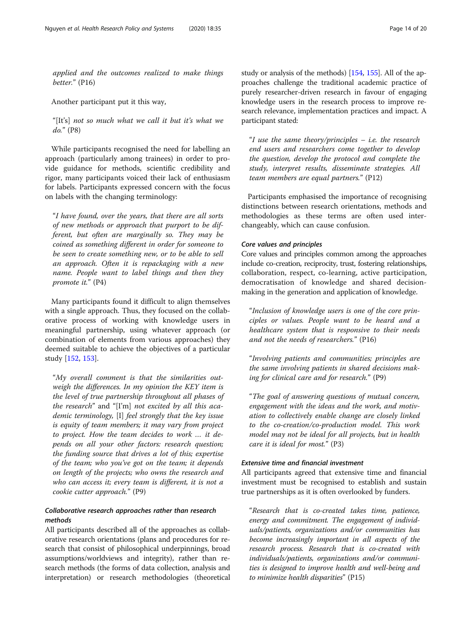applied and the outcomes realized to make things better." (P16)

Another participant put it this way,

"[It's] not so much what we call it but it's what we do." (P8)

While participants recognised the need for labelling an approach (particularly among trainees) in order to provide guidance for methods, scientific credibility and rigor, many participants voiced their lack of enthusiasm for labels. Participants expressed concern with the focus on labels with the changing terminology:

"I have found, over the years, that there are all sorts of new methods or approach that purport to be different, but often are marginally so. They may be coined as something different in order for someone to be seen to create something new, or to be able to sell an approach. Often it is repackaging with a new name. People want to label things and then they promote it." (P4)

Many participants found it difficult to align themselves with a single approach. Thus, they focused on the collaborative process of working with knowledge users in meaningful partnership, using whatever approach (or combination of elements from various approaches) they deemed suitable to achieve the objectives of a particular study [[152](#page-19-0), [153](#page-19-0)].

"My overall comment is that the similarities outweigh the differences. In my opinion the KEY item is the level of true partnership throughout all phases of the research" and "[I'm] not excited by all this academic terminology, [I] feel strongly that the key issue is equity of team members; it may vary from project to project. How the team decides to work … it depends on all your other factors: research question; the funding source that drives a lot of this; expertise of the team; who you've got on the team; it depends on length of the projects; who owns the research and who can access it; every team is different, it is not a cookie cutter approach." (P9)

# Collaborative research approaches rather than research methods

All participants described all of the approaches as collaborative research orientations (plans and procedures for research that consist of philosophical underpinnings, broad assumptions/worldviews and integrity), rather than research methods (the forms of data collection, analysis and interpretation) or research methodologies (theoretical

study or analysis of the methods) [\[154,](#page-19-0) [155](#page-19-0)]. All of the approaches challenge the traditional academic practice of purely researcher-driven research in favour of engaging knowledge users in the research process to improve research relevance, implementation practices and impact. A participant stated:

"I use the same theory/principles  $-$  *i.e.* the research end users and researchers come together to develop the question, develop the protocol and complete the study, interpret results, disseminate strategies. All team members are equal partners." (P12)

Participants emphasised the importance of recognising distinctions between research orientations, methods and methodologies as these terms are often used interchangeably, which can cause confusion.

## Core values and principles

Core values and principles common among the approaches include co-creation, reciprocity, trust, fostering relationships, collaboration, respect, co-learning, active participation, democratisation of knowledge and shared decisionmaking in the generation and application of knowledge.

"Inclusion of knowledge users is one of the core principles or values. People want to be heard and a healthcare system that is responsive to their needs and not the needs of researchers." (P16)

"Involving patients and communities; principles are the same involving patients in shared decisions making for clinical care and for research." (P9)

"The goal of answering questions of mutual concern, engagement with the ideas and the work, and motivation to collectively enable change are closely linked to the co-creation/co-production model. This work model may not be ideal for all projects, but in health care it is ideal for most." (P3)

# Extensive time and financial investment

All participants agreed that extensive time and financial investment must be recognised to establish and sustain true partnerships as it is often overlooked by funders.

"Research that is co-created takes time, patience, energy and commitment. The engagement of individuals/patients, organizations and/or communities has become increasingly important in all aspects of the research process. Research that is co-created with individuals/patients, organizations and/or communities is designed to improve health and well-being and to minimize health disparities" (P15)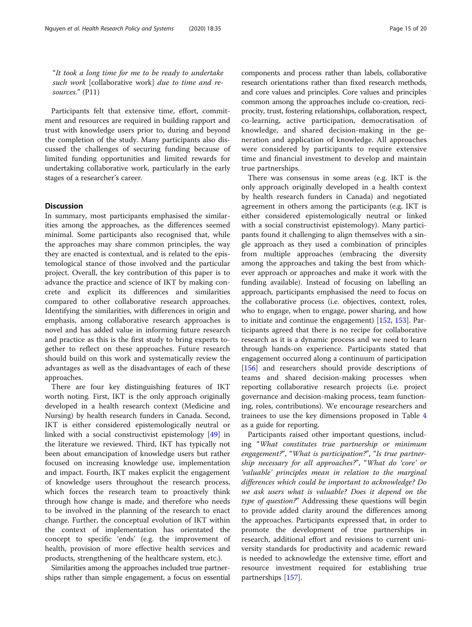"It took a long time for me to be ready to undertake such work [collaborative work] due to time and resources." (P11)

Participants felt that extensive time, effort, commitment and resources are required in building rapport and trust with knowledge users prior to, during and beyond the completion of the study. Many participants also discussed the challenges of securing funding because of limited funding opportunities and limited rewards for undertaking collaborative work, particularly in the early stages of a researcher's career.

# **Discussion**

In summary, most participants emphasised the similarities among the approaches, as the differences seemed minimal. Some participants also recognised that, while the approaches may share common principles, the way they are enacted is contextual, and is related to the epistemological stance of those involved and the particular project. Overall, the key contribution of this paper is to advance the practice and science of IKT by making concrete and explicit its differences and similarities compared to other collaborative research approaches. Identifying the similarities, with differences in origin and emphasis, among collaborative research approaches is novel and has added value in informing future research and practice as this is the first study to bring experts together to reflect on these approaches. Future research should build on this work and systematically review the advantages as well as the disadvantages of each of these approaches.

There are four key distinguishing features of IKT worth noting. First, IKT is the only approach originally developed in a health research context (Medicine and Nursing) by health research funders in Canada. Second, IKT is either considered epistemologically neutral or linked with a social constructivist epistemology [\[49\]](#page-17-0) in the literature we reviewed. Third, IKT has typically not been about emancipation of knowledge users but rather focused on increasing knowledge use, implementation and impact. Fourth, IKT makes explicit the engagement of knowledge users throughout the research process, which forces the research team to proactively think through how change is made, and therefore who needs to be involved in the planning of the research to enact change. Further, the conceptual evolution of IKT within the context of implementation has orientated the concept to specific 'ends' (e.g. the improvement of health, provision of more effective health services and products, strengthening of the healthcare system, etc.).

Similarities among the approaches included true partnerships rather than simple engagement, a focus on essential components and process rather than labels, collaborative research orientations rather than fixed research methods, and core values and principles. Core values and principles common among the approaches include co-creation, reciprocity, trust, fostering relationships, collaboration, respect, co-learning, active participation, democratisation of knowledge, and shared decision-making in the generation and application of knowledge. All approaches were considered by participants to require extensive time and financial investment to develop and maintain true partnerships.

There was consensus in some areas (e.g. IKT is the only approach originally developed in a health context by health research funders in Canada) and negotiated agreement in others among the participants (e.g. IKT is either considered epistemologically neutral or linked with a social constructivist epistemology). Many participants found it challenging to align themselves with a single approach as they used a combination of principles from multiple approaches (embracing the diversity among the approaches and taking the best from whichever approach or approaches and make it work with the funding available). Instead of focusing on labelling an approach, participants emphasised the need to focus on the collaborative process (i.e. objectives, context, roles, who to engage, when to engage, power sharing, and how to initiate and continue the engagement) [\[152](#page-19-0), [153](#page-19-0)]. Participants agreed that there is no recipe for collaborative research as it is a dynamic process and we need to learn through hands-on experience. Participants stated that engagement occurred along a continuum of participation [[156\]](#page-19-0) and researchers should provide descriptions of teams and shared decision-making processes when reporting collaborative research projects (i.e. project governance and decision-making process, team functioning, roles, contributions). We encourage researchers and trainees to use the key dimensions proposed in Table [4](#page-7-0) as a guide for reporting.

Participants raised other important questions, including "What constitutes true partnership or minimum engagement?", "What is participation?", "Is true partnership necessary for all approaches?", "What do 'core' or 'valuable' principles mean in relation to the marginal differences which could be important to acknowledge? Do we ask users what is valuable? Does it depend on the type of question?" Addressing these questions will begin to provide added clarity around the differences among the approaches. Participants expressed that, in order to promote the development of true partnerships in research, additional effort and revisions to current university standards for productivity and academic reward is needed to acknowledge the extensive time, effort and resource investment required for establishing true partnerships [\[157](#page-19-0)].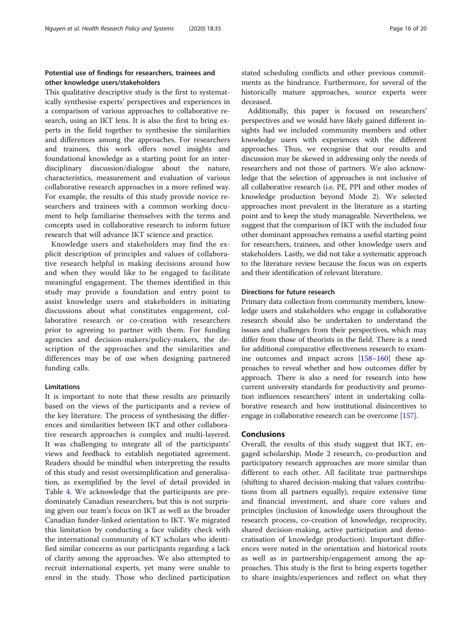# Potential use of findings for researchers, trainees and other knowledge users/stakeholders

This qualitative descriptive study is the first to systematically synthesise experts' perspectives and experiences in a comparison of various approaches to collaborative research, using an IKT lens. It is also the first to bring experts in the field together to synthesise the similarities and differences among the approaches. For researchers and trainees, this work offers novel insights and foundational knowledge as a starting point for an interdisciplinary discussion/dialogue about the nature, characteristics, measurement and evaluation of various collaborative research approaches in a more refined way. For example, the results of this study provide novice researchers and trainees with a common working document to help familiarise themselves with the terms and concepts used in collaborative research to inform future research that will advance IKT science and practice.

Knowledge users and stakeholders may find the explicit description of principles and values of collaborative research helpful in making decisions around how and when they would like to be engaged to facilitate meaningful engagement. The themes identified in this study may provide a foundation and entry point to assist knowledge users and stakeholders in initiating discussions about what constitutes engagement, collaborative research or co-creation with researchers prior to agreeing to partner with them. For funding agencies and decision-makers/policy-makers, the description of the approaches and the similarities and differences may be of use when designing partnered funding calls.

## Limitations

It is important to note that these results are primarily based on the views of the participants and a review of the key literature. The process of synthesising the differences and similarities between IKT and other collaborative research approaches is complex and multi-layered. It was challenging to integrate all of the participants' views and feedback to establish negotiated agreement. Readers should be mindful when interpreting the results of this study and resist oversimplification and generalisation, as exemplified by the level of detail provided in Table [4](#page-7-0). We acknowledge that the participants are predominately Canadian researchers, but this is not surprising given our team's focus on IKT as well as the broader Canadian funder-linked orientation to IKT. We migrated this limitation by conducting a face validity check with the international community of KT scholars who identified similar concerns as our participants regarding a lack of clarity among the approaches. We also attempted to recruit international experts, yet many were unable to enrol in the study. Those who declined participation

stated scheduling conflicts and other previous commitments as the hindrance. Furthermore, for several of the historically mature approaches, source experts were deceased.

Additionally, this paper is focused on researchers' perspectives and we would have likely gained different insights had we included community members and other knowledge users with experiences with the different approaches. Thus, we recognise that our results and discussion may be skewed in addressing only the needs of researchers and not those of partners. We also acknowledge that the selection of approaches is not inclusive of all collaborative research (i.e. PE, PPI and other modes of knowledge production beyond Mode 2). We selected approaches most prevalent in the literature as a starting point and to keep the study manageable. Nevertheless, we suggest that the comparison of IKT with the included four other dominant approaches remains a useful starting point for researchers, trainees, and other knowledge users and stakeholders. Lastly, we did not take a systematic approach to the literature review because the focus was on experts and their identification of relevant literature.

# Directions for future research

Primary data collection from community members, knowledge users and stakeholders who engage in collaborative research should also be undertaken to understand the issues and challenges from their perspectives, which may differ from those of theorists in the field. There is a need for additional comparative effectiveness research to examine outcomes and impact across [\[158](#page-19-0)–[160\]](#page-19-0) these approaches to reveal whether and how outcomes differ by approach. There is also a need for research into how current university standards for productivity and promotion influences researchers' intent in undertaking collaborative research and how institutional disincentives to engage in collaborative research can be overcome [\[157](#page-19-0)].

## Conclusions

Overall, the results of this study suggest that IKT, engaged scholarship, Mode 2 research, co-production and participatory research approaches are more similar than different to each other. All facilitate true partnerships (shifting to shared decision-making that values contributions from all partners equally), require extensive time and financial investment, and share core values and principles (inclusion of knowledge users throughout the research process, co-creation of knowledge, reciprocity, shared decision-making, active participation and democratisation of knowledge production). Important differences were noted in the orientation and historical roots as well as in partnership/engagement among the approaches. This study is the first to bring experts together to share insights/experiences and reflect on what they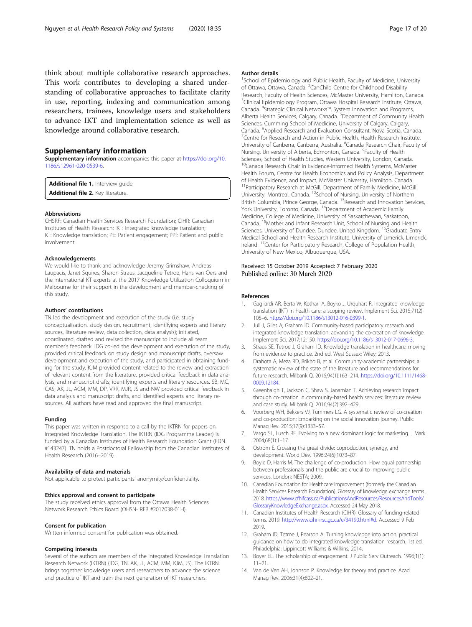<span id="page-16-0"></span>think about multiple collaborative research approaches. This work contributes to developing a shared understanding of collaborative approaches to facilitate clarity in use, reporting, indexing and communication among researchers, trainees, knowledge users and stakeholders to advance IKT and implementation science as well as knowledge around collaborative research.

# Supplementary information

Supplementary information accompanies this paper at [https://doi.org/10.](https://doi.org/10.1186/s12961-020-0539-6) [1186/s12961-020-0539-6.](https://doi.org/10.1186/s12961-020-0539-6)

| Additional file 1. Interview quide.       |  |
|-------------------------------------------|--|
| <b>Additional file 2.</b> Key literature. |  |

#### Abbreviations

CHSRF: Canadian Health Services Research Foundation; CIHR: Canadian Institutes of Health Research; IKT: Integrated knowledge translation; KT: Knowledge translation; PE: Patient engagement; PPI: Patient and public involvement

## Acknowledgements

We would like to thank and acknowledge Jeremy Grimshaw, Andreas Laupacis, Janet Squires, Sharon Straus, Jacqueline Tetroe, Hans van Oers and the international KT experts at the 2017 Knowledge Utilization Colloquium in Melbourne for their support in the development and member-checking of this study.

#### Authors' contributions

TN led the development and execution of the study (i.e. study conceptualisation, study design, recruitment, identifying experts and literary sources, literature review, data collection, data analysis); initiated, coordinated, drafted and revised the manuscript to include all team member's feedback. IDG co-led the development and execution of the study, provided critical feedback on study design and manuscript drafts, oversaw development and execution of the study, and participated in obtaining funding for the study. KJM provided content related to the review and extraction of relevant content from the literature, provided critical feedback in data analysis, and manuscript drafts; identifying experts and literary resources. SB, MC, CAS, AK, JL, ACM, MM, DP, VRR, MJR, JS and NW provided critical feedback in data analysis and manuscript drafts, and identified experts and literary resources. All authors have read and approved the final manuscript.

#### Funding

This paper was written in response to a call by the IKTRN for papers on Integrated Knowledge Translation. The IKTRN (IDG Programme Leader) is funded by a Canadian Institutes of Health Research Foundation Grant (FDN #143247). TN holds a Postdoctoral Fellowship from the Canadian Institutes of Health Research (2016–2019).

#### Availability of data and materials

Not applicable to protect participants' anonymity/confidentiality.

#### Ethics approval and consent to participate

The study received ethics approval from the Ottawa Health Sciences Network Research Ethics Board (OHSN- REB #2017038-01H).

#### Consent for publication

Written informed consent for publication was obtained.

#### Competing interests

Several of the authors are members of the Integrated Knowledge Translation Research Network (IKTRN) (IDG, TN, AK, JL, ACM, MM, KJM, JS). The IKTRN brings together knowledge users and researchers to advance the science and practice of IKT and train the next generation of IKT researchers.

#### Author details

<sup>1</sup>School of Epidemiology and Public Health, Faculty of Medicine, University of Ottawa, Ottawa, Canada. <sup>2</sup> Can Child Centre for Childhood Disability Research, Faculty of Health Sciences, McMaster University, Hamilton, Canada. <sup>3</sup>Clinical Epidemiology Program, Ottawa Hospital Research Institute, Ottawa Canada. <sup>4</sup> Strategic Clinical Networks™, System Innovation and Programs, Alberta Health Services, Calgary, Canada. <sup>5</sup>Department of Community Health Sciences, Cumming School of Medicine, University of Calgary, Calgary, Canada. <sup>6</sup> Applied Research and Evaluation Consultant, Nova Scotia, Canada. <sup>7</sup> <sup>7</sup> Centre for Research and Action in Public Health, Health Research Institute, University of Canberra, Canberra, Australia. <sup>8</sup>Canada Research Chair, Faculty of Nursing, University of Alberta, Edmonton, Canada. <sup>9</sup>Faculty of Health Sciences, School of Health Studies, Western University, London, Canada. <sup>10</sup>Canada Research Chair in Evidence-Informed Health Systems, McMaster Health Forum, Centre for Health Economics and Policy Analysis, Department of Health Evidence, and Impact, McMaster University, Hamilton, Canada. <sup>11</sup> Participatory Research at McGill, Department of Family Medicine, McGill University, Montreal, Canada. 12School of Nursing, University of Northern British Columbia, Prince George, Canada. 13Research and Innovation Services, York University, Toronto, Canada. <sup>14</sup>Department of Academic Family Medicine, College of Medicine, University of Saskatchewan, Saskatoon, Canada. 15Mother and Infant Research Unit, School of Nursing and Health Sciences, University of Dundee, Dundee, United Kingdom. <sup>16</sup>Graduate Entry Medical School and Health Research Institute, University of Limerick, Limerick, Ireland. 17Center for Participatory Research, College of Population Health, University of New Mexico, Albuquerque, USA.

# Received: 15 October 2019 Accepted: 7 February 2020 Published online: 30 March 2020

#### References

- 1. Gagliardi AR, Berta W, Kothari A, Boyko J, Urquhart R. Integrated knowledge translation (IKT) in health care: a scoping review. Implement Sci. 2015;71(2): 105–6. [https://doi.org/10.1186/s13012-016-0399-1.](https://doi.org/10.1186/s13012-016-0399-1)
- 2. Jull J, Giles A, Graham ID. Community-based participatory research and integrated knowledge translation: advancing the co-creation of knowledge. Implement Sci. 2017;12:150. <https://doi.org/10.1186/s13012-017-0696-3>.
- Straus SE, Tetroe J, Graham ID. Knowledge translation in healthcare: moving from evidence to practice. 2nd ed. West Sussex: Wiley; 2013.
- 4. Drahota A, Meza RD, Brikho B, et al. Community-academic partnerships: a systematic review of the state of the literature and recommendations for future research. Milbank Q. 2016;94(1):163–214. [https://doi.org/10.1111/1468-](https://doi.org/10.1111/1468-0009.12184) [0009.12184.](https://doi.org/10.1111/1468-0009.12184)
- 5. Greenhalgh T, Jackson C, Shaw S, Janamian T. Achieving research impact through co-creation in community-based health services: literature review and case study. Milbank Q. 2016;94(2):392–429.
- 6. Voorberg WH, Bekkers VJ, Tummers LG. A systematic review of co-creation and co-production: Embarking on the social innovation journey. Public Manag Rev. 2015;17(9):1333–57.
- 7. Vargo SL, Lusch RF. Evolving to a new dominant logic for marketing. J Mark. 2004;68(1):1–17.
- 8. Ostrom E. Crossing the great divide: coproduction, synergy, and development. World Dev. 1996;24(6):1073–87.
- Boyle D, Harris M. The challenge of co-production–How equal partnership between professionals and the public are crucial to improving public services. London: NESTA; 2009.
- 10. Canadian Foundation for Healthcare Improvement (formerly the Canadian Health Services Research Foundation). Glossary of knowledge exchange terms. 2018. [https://www.cfhifcass.ca/PublicationsAndResources/ResourcesAndTools/](https://www.cfhifcass.ca/PublicationsAndResources/ResourcesAndTools/GlossaryKnowledgeExchange.aspx) [GlossaryKnowledgeExchange.aspx.](https://www.cfhifcass.ca/PublicationsAndResources/ResourcesAndTools/GlossaryKnowledgeExchange.aspx) Accessed 24 May 2018.
- 11. Canadian Institutes of Health Research (CIHR). Glossary of funding-related terms. 2019. [http://www.cihr-irsc.gc.ca/e/34190.html#d.](http://www.cihr-irsc.gc.ca/e/34190.html#d) Accessed 9 Feb 2019.
- 12. Graham ID, Tetroe J, Pearson A. Turning knowledge into action: practical guidance on how to do integrated knowledge translation research. 1st ed. Philadelphia: Lippincott Williams & Wilkins; 2014.
- 13. Boyer EL. The scholarship of engagement. J Public Serv Outreach. 1996;1(1): 11–21.
- 14. Van de Ven AH, Johnson P. Knowledge for theory and practice. Acad Manag Rev. 2006;31(4):802–21.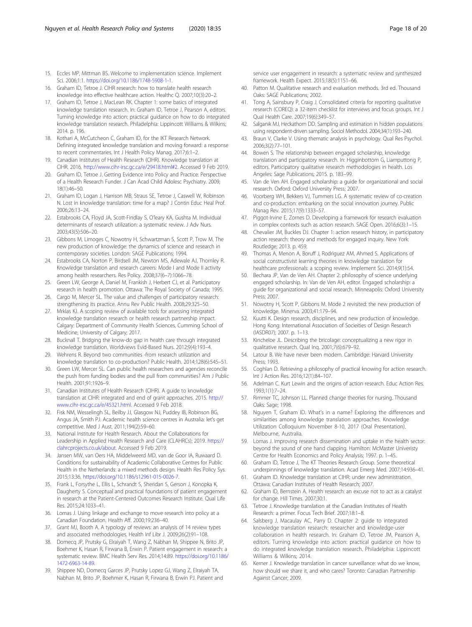- <span id="page-17-0"></span>15. Eccles MP, Mittman BS. Welcome to implementation science. Implement Sci. 2006;1:1. [https://doi.org/10.1186/1748-5908-1-1.](https://doi.org/10.1186/1748-5908-1-1)
- 16. Graham ID, Tetroe J. CIHR research: how to translate health research knowledge into effective healthcare action. Healthc Q. 2007;10(3):20–2.
- 17. Graham ID, Tetroe J, MacLean RK. Chapter 1: some basics of integrated knowledge translation research. In: Graham ID, Tetroe J, Pearson A, editors. Turning knowledge into action: practical guidance on how to do integrated knowledge translation research. Philadelphia: Lippincott Williams & Wilkins; 2014. p. 196.
- 18. Kothari A, McCutcheon C, Graham ID, for the IKT Research Network. Defining integrated knowledge translation and moving forward: a response to recent commentaries. Int J Health Policy Manag. 2017;6:1–2.
- 19. Canadian Institutes of Health Research (CIHR). Knowledge translation at CIHR. 2016. [http://www.cihr-irsc.gc.ca/e/29418.html#2.](http://www.cihr-irsc.gc.ca/e/29418.html#2) Accessed 9 Feb 2019.
- 20. Graham ID, Tetroe J. Getting Evidence into Policy and Practice: Perspective of a Health Research Funder. J Can Acad Child Adolesc Psychiatry. 2009; 18(1):46–50.
- 21. Graham ID, Logan J, Harrison MB, Straus SE, Tetroe J, Caswell W, Robinson N. Lost in knowledge translation: time for a map? J Contin Educ Heal Prof. 2006;26:13–24.
- 22. Estabrooks CA, Floyd JA, Scott-Findlay S, O'leary KA, Gushta M. Individual determinants of research utilization: a systematic review. J Adv Nurs. 2003;43(5):506–20.
- 23. Gibbons M, Limoges C, Nowotny H, Schwartzman S, Scott P, Trow M. The new production of knowledge: the dynamics of science and research in contemporary societies. London: SAGE Publications; 1994.
- 24. Estabrooks CA, Norton P, Birdsell JM, Newton MS, Adewale AJ, Thornley R. Knowledge translation and research careers: Mode I and Mode II activity among health researchers. Res Policy. 2008;37(6–7):1066–78.
- 25. Green LW, George A, Daniel M, Frankish J, Herbert CJ, et al. Participatory research in health promotion. Ottawa: The Royal Society of Canada; 1995.
- 26. Cargo M, Mercer SL. The value and challenges of participatory research: strengthening its practice. Annu Rev Public Health. 2008;29:325–50.
- 27. Mrklas KJ. A scoping review of available tools for assessing integrated knowledge translation research or health research partnership impact. Calgary: Department of Community Health Sciences, Cumming School of Medicine, University of Calgary; 2017.
- 28. Bucknall T. Bridging the know-do gap in health care through integrated knowledge translation. Worldviews Evid-Based Nurs. 2012;9(4):193–4.
- 29. Wehrens R. Beyond two communities -from research utilization and knowledge translation to co-production? Public Health. 2014;128(6):545–51.
- 30. Green LW, Mercer SL. Can public health researchers and agencies reconcile the push from funding bodies and the pull from communities? Am J Public Health. 2001;91:1926–9.
- 31. Canadian Institutes of Health Research (CIHR). A guide to knowledge translation at CIHR: integrated and end of grant approaches. 2015. [http://](http://www.cihr-irsc.gc.ca/e/45321.html) [www.cihr-irsc.gc.ca/e/45321.html](http://www.cihr-irsc.gc.ca/e/45321.html). Accessed 9 Feb 2018.
- 32. Fisk NM, Wesselingh SL, Beilby JJ, Glasgow NJ, Puddey IB, Robinson BG, Angus JA, Smith PJ. Academic health science centres in Australia: let's get competitive. Med J Aust. 2011;194(2):59–60.
- 33. National Institute for Health Research. About the Collaborations for Leadership in Applied Health Research and Care (CLAHRCs); 2019. [https://](https://clahrcprojects.co.uk/about) [clahrcprojects.co.uk/about](https://clahrcprojects.co.uk/about). Accessed 9 Feb 2019.
- 34. Jansen MW, van Oers HA, Middelweerd MD, van de Goor IA, Ruwaard D. Conditions for sustainability of Academic Collaborative Centres for Public Health in the Netherlands: a mixed methods design. Health Res Policy Sys. 2015;13:36. <https://doi.org/10.1186/s12961-015-0026-7>.
- 35. Frank L, Forsythe L, Ellis L, Schrandt S, Sheridan S, Gerson J, Konopka K, Daugherty S. Conceptual and practical foundations of patient engagement in research at the Patient-Centered Outcomes Research Institute. Qual Life Res. 2015;24:1033–41.
- 36. Lomas J. Using linkage and exchange to move research into policy at a Canadian Foundation. Health Aff. 2000;19:236–40.
- 37. Grant MJ, Booth A. A typology of reviews: an analysis of 14 review types and associated methodologies. Health Inf Libr J. 2009;26(2):91–108.
- 38. Domecq JP, Prutsky G, Elraiyah T, Wang Z, Nabhan M, Shippee N, Brito JP, Boehmer K, Hasan R, Firwana B, Erwin P. Patient engagement in research: a systematic review. BMC Health Serv Res. 2014;14:89. [https://doi.org/10.1186/](https://doi.org/10.1186/1472-6963-14-89) [1472-6963-14-89.](https://doi.org/10.1186/1472-6963-14-89)
- 39. Shippee ND, Domecq Garces JP, Prutsky Lopez GJ, Wang Z, Elraiyah TA, Nabhan M, Brito JP, Boehmer K, Hasan R, Firwana B, Erwin PJ. Patient and

service user engagement in research: a systematic review and synthesized framework. Health Expect. 2015;18(5):1151–66.

- 40. Patton M. Qualitative research and evaluation methods. 3rd ed. Thousand Oaks: SAGE Publications; 2002.
- 41. Tong A, Sainsbury P, Craig J. Consolidated criteria for reporting qualitative research (COREQ): a 32-item checklist for interviews and focus groups. Int J Qual Health Care. 2007;19(6):349–57.
- 42. Salganik MJ, Heckathorn DD. Sampling and estimation in hidden populations using respondent-driven sampling. Sociol Methodol. 2004;34(1):193–240.
- 43. Braun V, Clarke V. Using thematic analysis in psychology. Qual Res Psychol. 2006;3(2):77–101.
- 44. Bowen S. The relationship between engaged scholarship, knowledge translation and participatory research. In: Higginbottom G, Liamputtong P, editors. Participatory qualitative research methodologies in health. Los Angeles: Sage Publications; 2015. p. 183–99.
- 45. Van de Ven AH. Engaged scholarship: a guide for organizational and social research. Oxford: Oxford University Press; 2007.
- 46. Voorberg WH, Bekkers VJ, Tummers LG. A systematic review of co-creation and co-production: embarking on the social innovation journey. Public Manag Rev. 2015;17(9):1333–57.
- 47. Piggot-Irvine E, Zornes D. Developing a framework for research evaluation in complex contexts such as action research. SAGE Open. 2016;6(3):1–15.
- 48. Chevalier JM, Buckles DJ. Chapter 1: action research history, in participatory action research: theory and methods for engaged inquiry. New York: Routledge; 2013. p. 459.
- 49. Thomas A, Menon A, Boruff J, Rodriguez AM, Ahmed S. Applications of social constructivist learning theories in knowledge translation for healthcare professionals: a scoping review. Implement Sci. 2014;9(1):54.
- 50. Bechara JP, Van de Ven AH. Chapter 2: philosophy of science underlying engaged scholarship. In: Van de Ven AH, editor. Engaged scholarship: a guide for organizational and social research. Minneapolis: Oxford University Press; 2007.
- 51. Nowotny H, Scott P, Gibbons M. Mode 2 revisited: the new production of knowledge. Minerva. 2003;41:179–94.
- 52. Kuutti K. Design research, disciplines, and new production of knowledge. Hong Kong: International Association of Socieities of Design Research (IASDR07); 2007. p. 1–13.
- 53. Kincheloe JL. Describing the bricolage: conceptualizing a new rigor in qualitative research. Qual Inq. 2001;7(6):679–92.
- 54. Latour B. We have never been modern. Cambridge: Harvard University Press; 1993.
- 55. Coghlan D. Retrieving a philosophy of practical knowing for action research. Int J Action Res. 2016;12(1):84–107.
- 56. Adelman C. Kurt Lewin and the origins of action research. Educ Action Res. 1993;1(1):7–24.
- 57. Rimmer TC, Johnson LL. Planned change theories for nursing. Thousand Oaks: Sage; 1998.
- 58. Nguyen T, Graham ID. What's in a name? Exploring the differences and similarities among knowledge translation approaches. Knowledge Utilization Colloquium November 8-10, 2017 (Oral Presentation). Melbourne, Australia.
- 59. Lomas J. Improving research dissemination and uptake in the health sector: beyond the sound of one hand clapping. Hamilton: McMaster Univeristy Centre for Health Economics and Policy Analysis; 1997. p. 1–45.
- 60. Graham ID, Tetroe J, The KT Theories Research Group. Some theoretical underpinnings of knowledge translation. Acad Emerg Med. 2007;14:936–41.
- 61. Graham ID. Knowledge translation at CIHR: under new administration. Ottawa: Canadian Institutes of Health Research; 2007.
- 62. Graham ID, Bernstein A. Health research: an excuse not to act as a catalyst for change. Hill Times. 2007;30:1.
- 63. Tetroe J. Knowledge translation at the Canadian Institutes of Health Research: a primer. Focus Tech Brief. 2007;18:1–8.
- 64. Salsberg J, Macaulay AC, Parry D. Chapter 2: guide to integrated knowledge translation research: researcher and knowledge-user collaboration in health research. In: Graham ID, Tetroe JM, Pearson A, editors. Turning knowledge into action: practical guidance on how to do integrated knowledge translation research. Philadelphia: Lippincott Williams & Wilkins; 2014.
- 65. Kerner J. Knowledge translation in cancer surveillance: what do we know, how should we share it, and who cares? Toronto: Canadian Partnership Against Cancer; 2009.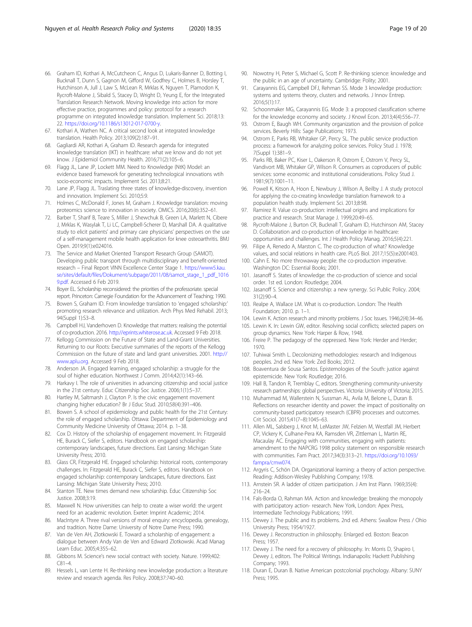- <span id="page-18-0"></span>66. Graham ID, Kothari A, McCutcheon C, Angus D, Lukaris-Banner D, Botting I, Bucknall T, Dunn S, Gagnon M, Gifford W, Godfrey C, Holmes B, Horsley T, Hutchinson A, Jull J, Law S, McLean R, Mrklas K, Nguyen T, Plamodon K, Rycroft-Malone J, Sibald S, Stacey D, Wright D, Yeung E, for the Integrated Translation Research Network. Moving knowledge into action for more effective practice, programmes and policy: protocol for a research programme on integrated knowledge translation. Implement Sci. 2018;13: 22. [https://doi.org/10.1186/s13012-017-0700-y.](https://doi.org/10.1186/s13012-017-0700-y)
- 67. Kothari A, Wathen NC. A critical second look at integrated knowledge translation. Health Policy. 2013;109(2):187–91.
- 68. Gagliardi AR, Kothari A, Graham ID. Research agenda for integrated knowledge translation (IKT) in healthcare: what we know and do not yet know. J Epidemiol Community Health. 2016;71(2):105–6.
- 69. Flagg JL, Lane JP, Lockett MM. Need to Knowledge (NtK) Model: an evidence based framework for generating technological innovations wtih socio-economic impacts. Implement Sci. 2013;8:21.
- 70. Lane JP, Flagg JL. Traslating three states of knowledge-discovery, invention and innovation. Implement Sci. 2010;5:9.
- 71. Holmes C, McDonald F, Jones M, Graham J. Knowledge translation: moving proteomics science to innovation in society. OMICS. 2016;20(6):352–61.
- 72. Barber T, Sharif B, Teare S, Miller J, Shewchuk B, Green LA, Marlett N, Cibere J, Mrklas K, Wasylak T, Li LC, Campbell-Scherer D, Marshall DA. A qualitative study to elicit patients' and primary care physicians' perspectives on the use of a self-management mobile health application for knee osteoarthritis. BMJ Open. 2019;9(1):e024016.
- 73. The Service and Market Oriented Transport Research Group (SAMOT). Developing public transport through multidisciplinary and benefit-oriented research – Final Report VINN Excellence Center Stage 1. [https://www5.kau.](https://www5.kau.se/sites/default/files/Dokument/subpage/2011/08/samot_stage_1_pdf_10169.pdf) [se/sites/default/files/Dokument/subpage/2011/08/samot\\_stage\\_1\\_pdf\\_1016](https://www5.kau.se/sites/default/files/Dokument/subpage/2011/08/samot_stage_1_pdf_10169.pdf) [9.pdf.](https://www5.kau.se/sites/default/files/Dokument/subpage/2011/08/samot_stage_1_pdf_10169.pdf) Accessed 6 Feb 2019.
- 74. Boyer EL. Scholarship reconsidered: the priorities of the professoriate. special report. Princeton: Carnegie Foundation for the Advancement of Teaching; 1990.
- 75. Bowen S, Graham ID. From knowledge translation to 'engaged scholarship:' promoting research relevance and utilization. Arch Phys Med Rehabil. 2013; 94(Suppl 1):S3–8.
- 76. Campbell HJ, Vanderhoven D. Knowledge that matters: realising the potential of co-production. 2016. [http://eprints.whiterose.ac.uk.](http://eprints.whiterose.ac.uk) Accessed 9 Feb 2018.
- 77. Kellogg Commission on the Future of State and Land-Grant Universities. Returning to our Roots: Executive summaries of the reports of the Kellogg Commission on the future of state and land grant universities. 2001. [http://](http://www.aplu.org) [www.aplu.org](http://www.aplu.org). Accessed 9 Feb 2018.
- 78. Anderson JA. Engaged learning, engaged scholarship: a struggle for the soul of higher education. Northwest J Comm. 2014;42(1):143–66.
- 79. Harkavy I. The role of universities in advancing citizenship and social justice in the 21st century. Educ Citizenship Soc Justice. 2006;1(1):5–37.
- 80. Hartley M, Saltmarsh J, Clayton P. Is the civic engagement movement changing higher education? Br J Educ Stud. 2010;58(4):391–406.
- 81. Bowen S. A school of epidemiology and public health for the 21st Century: the role of engaged scholarship. Ottawa: Department of Epidemiology and Community Medicine University of Ottawa; 2014. p. 1–38.
- 82. Cox D. History of the scholarship of engagement movement. In: Fitzgerald HE, Burack C, Siefer S, editors. Handbook on engaged scholarship: contemporary landscapes, future directions. East Lansing: Michigan State University Press; 2010.
- 83. Glass CR, Fitzgerald HE. Engaged scholarship: historical roots, contemporary challenges. In: Fitzgerald HE, Burack C, Siefer S, editors. Handbook on engaged scholarship: contemporary landscapes, future directions. East Lansing: Michigan State University Press; 2010.
- 84. Stanton TE. New times demand new scholarship. Educ Citizenship Soc Justice. 2008;3:19.
- Maxwell N. How universities can help to create a wiser world: the urgent need for an academic revolution. Exeter: Imprint Academic; 2014.
- 86. MacIntyre A. Three rival versions of moral enquiry: encyclopedia, genealogy, and tradition. Notre Dame: University of Notre Dame Press; 1990.
- 87. Van de Ven AH, Zlotkowski E. Toward a scholarship of engagement: a dialogue between Andy Van de Ven and Edward Zlotkowski. Acad Manag Learn Educ. 2005;4:355–62.
- 88. Gibbons M. Science's new social contract with society. Nature. 1999;402:  $C81-4$
- 89. Hessels L, van Lente H. Re-thinking new knowledge production: a literature review and research agenda. Res Policy. 2008;37:740–60.
- 90. Nowotny H, Peter S, Michael G, Scott P. Re-thinking science: knowledge and the public in an age of uncertainty. Cambridge: Polity; 2001.
- 91. Carayannis EG, Campbell DFJ, Rehman SS, Mode 3 knowledge production: systems and systems theory, clusters and networks. J Innov Entrep. 2016;5(1):17.
- 92. Schoonmaker MG, Carayannis EG. Mode 3: a proposed classification scheme for the knowledge economy and society. J Knowl Econ. 2013;4(4):556–77.
- 93. Ostrom E, Baugh WH. Community organization and the provision of police services. Beverly Hills: Sage Publications; 1973.
- 94. Ostrom E, Parks RB, Whitaker GP, Percy SL. The public service production process: a framework for analyzing police services. Policy Stud J. 1978; 7(Suppl 1):381–9.
- 95. Parks RB, Baker PC, Kiser L, Oakerson R, Ostrom E, Ostrom V, Percy SL, Vandivort MB, Whitaker GP, Wilson R. Consumers as coproducers of public services: some economic and institutional considerations. Policy Stud J. 1981;9(7):1001–11.
- 96. Powell K, Kitson A, Hoon E, Newbury J, Wilson A, Beilby J. A study protocol for applying the co-creating knowledge translation framework to a population health study. Implement Sci. 2013;8:98.
- 97. Ramirez R. Value co-production: intellectual origins and implications for practice and research. Strat Manage J. 1999;20:49–65.
- 98. Rycroft-Malone J, Burton CR, Bucknall T, Graham ID, Hutchinson AM, Stacey D. Collaboration and co-production of knowledge in healthcare: opportunities and challenges. Int J Health Policy Manag. 2016;5(4):221.
- 99. Filipe A, Renedo A, Marston C. The co-production of what? Knowledge values, and social relations in health care. PLoS Biol. 2017;15(5):e2001403.
- 100. Cahn E. No more throwaway people: the co-production imperative. Washington DC: Essential Books; 2001.
- 101. Jasanoff S. States of knowledge: the co-production of science and social order. 1st ed. London: Routledge; 2004.
- 102. Jasanoff S. Science and citizenship: a new synergy. Sci Public Policy. 2004; 31(2):90–4.
- 103. Realpe A, Wallace LM. What is co-production. London: The Health Foundation; 2010. p. 1–1.
- 104. Lewin K. Action research and minority problems. J Soc Issues. 1946;2(4):34–46.
- 105. Lewin K. In: Lewin GW, editor. Resolving social conflicts; selected papers on group dynamics. New York: Harper & Row, 1948.
- 106. Freire P. The pedagogy of the oppressed. New York: Herder and Herder; 1970.
- 107. Tuhiwai Smith L. Decolonizing methodologies: research and Indigenous peoples. 2nd ed. New York: Zed Books; 2012.
- 108. Boaventura de Sousa Santos. Epistemologies of the South: justice against epistemicide. New York: Routledge; 2016.
- 109. Hall B, Tandon R, Tremblay C, editors. Strengthening community-university research partnerships: global perspectives. Victoria: University of Victoria; 2015.
- 110. Muhammad M, Wallerstein N, Sussman AL, Avila M, Belone L, Duran B. Reflections on researcher identity and power: the impact of positionality on community-based participatory research (CBPR) processes and outcomes. Crit Sociol. 2015;41(7–8):1045–63.
- 111. Allen ML, Salsberg J, Knot M, LeMaster JW, Felzien M, Westfall JM, Herbert CP, Vickery K, Culhane-Pera KA, Ramsden VR, Zittleman L, Martin RE, Macaulay AC. Engaging with communities, engaging with patients: amendment to the NAPCRG 1998 policy statement on responsible research with communities. Fam Pract. 2017;34(3):313–21. [https://doi.org/10.1093/](https://doi.org/10.1093/fampra/cmw074) [fampra/cmw074](https://doi.org/10.1093/fampra/cmw074).
- 112. Argyris C, Schön DA. Organizational learning: a theory of action perspective. Reading: Addison-Wesley Publishing Company; 1978.
- 113. Arnstein SR. A ladder of citizen participation. J Am Inst Plann. 1969;35(4): 216–24.
- 114. Fals-Borda O, Rahman MA. Action and knowledge: breaking the monopoly with participatory action- research. New York, London: Apex Press, Intermediate Technology Publications; 1991.
- 115. Dewey J. The public and its problems. 2nd ed. Athens: Swallow Press / Ohio University Press; 1954/1927.
- 116. Dewey J. Reconstruction in philosophy. Enlarged ed. Boston: Beacon Press; 1957.
- 117. Dewey J. The need for a recovery of philosophy. In: Morris D, Shapiro I, Dewey J, editors. The Political Writings. Indianapolis: Hackett Publishing Company; 1993.
- 118. Duran E, Duran B. Native American postcolonial psychology. Albany: SUNY Press; 1995.